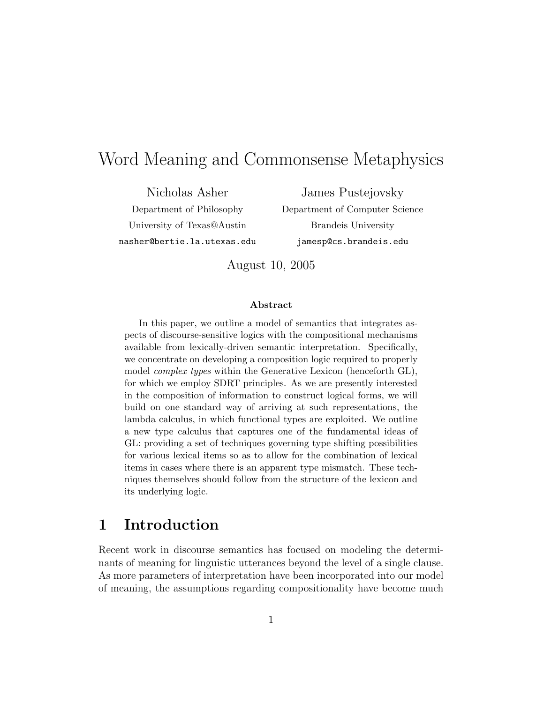# Word Meaning and Commonsense Metaphysics

Nicholas Asher Department of Philosophy University of Texas@Austin nasher@bertie.la.utexas.edu

James Pustejovsky Department of Computer Science Brandeis University jamesp@cs.brandeis.edu

August 10, 2005

#### Abstract

In this paper, we outline a model of semantics that integrates aspects of discourse-sensitive logics with the compositional mechanisms available from lexically-driven semantic interpretation. Specifically, we concentrate on developing a composition logic required to properly model *complex types* within the Generative Lexicon (henceforth GL), for which we employ SDRT principles. As we are presently interested in the composition of information to construct logical forms, we will build on one standard way of arriving at such representations, the lambda calculus, in which functional types are exploited. We outline a new type calculus that captures one of the fundamental ideas of GL: providing a set of techniques governing type shifting possibilities for various lexical items so as to allow for the combination of lexical items in cases where there is an apparent type mismatch. These techniques themselves should follow from the structure of the lexicon and its underlying logic.

# 1 Introduction

Recent work in discourse semantics has focused on modeling the determinants of meaning for linguistic utterances beyond the level of a single clause. As more parameters of interpretation have been incorporated into our model of meaning, the assumptions regarding compositionality have become much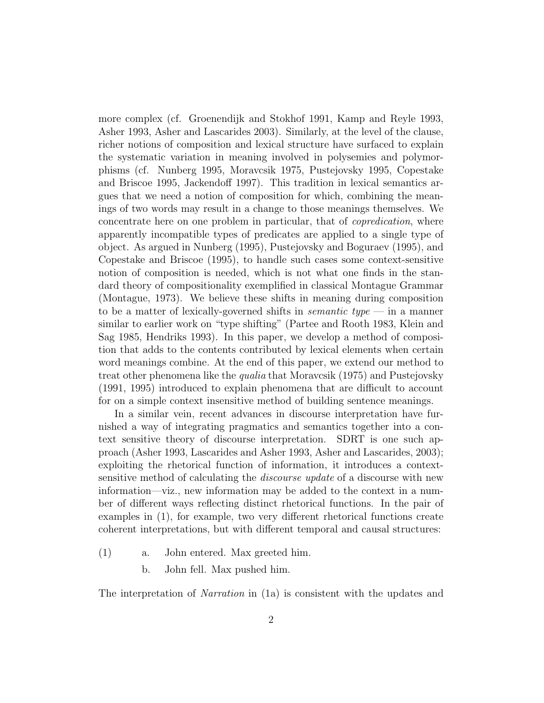more complex (cf. Groenendijk and Stokhof 1991, Kamp and Reyle 1993, Asher 1993, Asher and Lascarides 2003). Similarly, at the level of the clause, richer notions of composition and lexical structure have surfaced to explain the systematic variation in meaning involved in polysemies and polymorphisms (cf. Nunberg 1995, Moravcsik 1975, Pustejovsky 1995, Copestake and Briscoe 1995, Jackendoff 1997). This tradition in lexical semantics argues that we need a notion of composition for which, combining the meanings of two words may result in a change to those meanings themselves. We concentrate here on one problem in particular, that of copredication, where apparently incompatible types of predicates are applied to a single type of object. As argued in Nunberg (1995), Pustejovsky and Boguraev (1995), and Copestake and Briscoe (1995), to handle such cases some context-sensitive notion of composition is needed, which is not what one finds in the standard theory of compositionality exemplified in classical Montague Grammar (Montague, 1973). We believe these shifts in meaning during composition to be a matter of lexically-governed shifts in *semantic type* — in a manner similar to earlier work on "type shifting" (Partee and Rooth 1983, Klein and Sag 1985, Hendriks 1993). In this paper, we develop a method of composition that adds to the contents contributed by lexical elements when certain word meanings combine. At the end of this paper, we extend our method to treat other phenomena like the qualia that Moravcsik (1975) and Pustejovsky (1991, 1995) introduced to explain phenomena that are difficult to account for on a simple context insensitive method of building sentence meanings.

In a similar vein, recent advances in discourse interpretation have furnished a way of integrating pragmatics and semantics together into a context sensitive theory of discourse interpretation. SDRT is one such approach (Asher 1993, Lascarides and Asher 1993, Asher and Lascarides, 2003); exploiting the rhetorical function of information, it introduces a contextsensitive method of calculating the *discourse update* of a discourse with new information—viz., new information may be added to the context in a number of different ways reflecting distinct rhetorical functions. In the pair of examples in (1), for example, two very different rhetorical functions create coherent interpretations, but with different temporal and causal structures:

- (1) a. John entered. Max greeted him.
	- b. John fell. Max pushed him.

The interpretation of Narration in (1a) is consistent with the updates and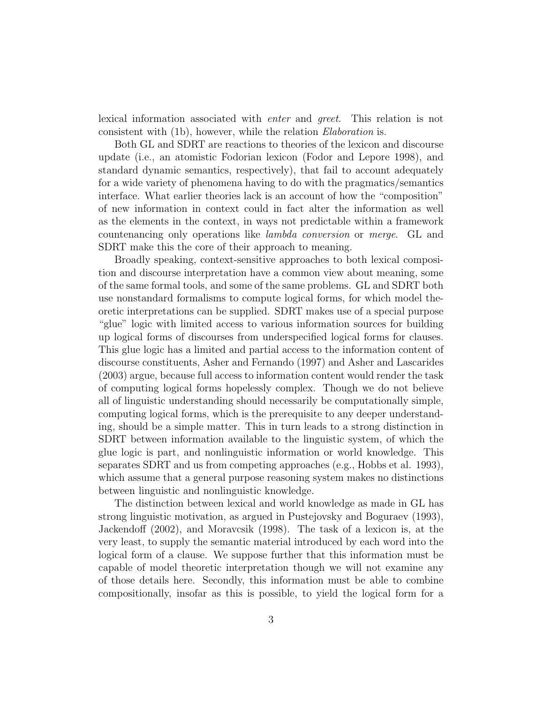lexical information associated with enter and greet. This relation is not consistent with (1b), however, while the relation Elaboration is.

Both GL and SDRT are reactions to theories of the lexicon and discourse update (i.e., an atomistic Fodorian lexicon (Fodor and Lepore 1998), and standard dynamic semantics, respectively), that fail to account adequately for a wide variety of phenomena having to do with the pragmatics/semantics interface. What earlier theories lack is an account of how the "composition" of new information in context could in fact alter the information as well as the elements in the context, in ways not predictable within a framework countenancing only operations like lambda conversion or merge. GL and SDRT make this the core of their approach to meaning.

Broadly speaking, context-sensitive approaches to both lexical composition and discourse interpretation have a common view about meaning, some of the same formal tools, and some of the same problems. GL and SDRT both use nonstandard formalisms to compute logical forms, for which model theoretic interpretations can be supplied. SDRT makes use of a special purpose "glue" logic with limited access to various information sources for building up logical forms of discourses from underspecified logical forms for clauses. This glue logic has a limited and partial access to the information content of discourse constituents, Asher and Fernando (1997) and Asher and Lascarides (2003) argue, because full access to information content would render the task of computing logical forms hopelessly complex. Though we do not believe all of linguistic understanding should necessarily be computationally simple, computing logical forms, which is the prerequisite to any deeper understanding, should be a simple matter. This in turn leads to a strong distinction in SDRT between information available to the linguistic system, of which the glue logic is part, and nonlinguistic information or world knowledge. This separates SDRT and us from competing approaches (e.g., Hobbs et al. 1993), which assume that a general purpose reasoning system makes no distinctions between linguistic and nonlinguistic knowledge.

The distinction between lexical and world knowledge as made in GL has strong linguistic motivation, as argued in Pustejovsky and Boguraev (1993), Jackendoff (2002), and Moravcsik (1998). The task of a lexicon is, at the very least, to supply the semantic material introduced by each word into the logical form of a clause. We suppose further that this information must be capable of model theoretic interpretation though we will not examine any of those details here. Secondly, this information must be able to combine compositionally, insofar as this is possible, to yield the logical form for a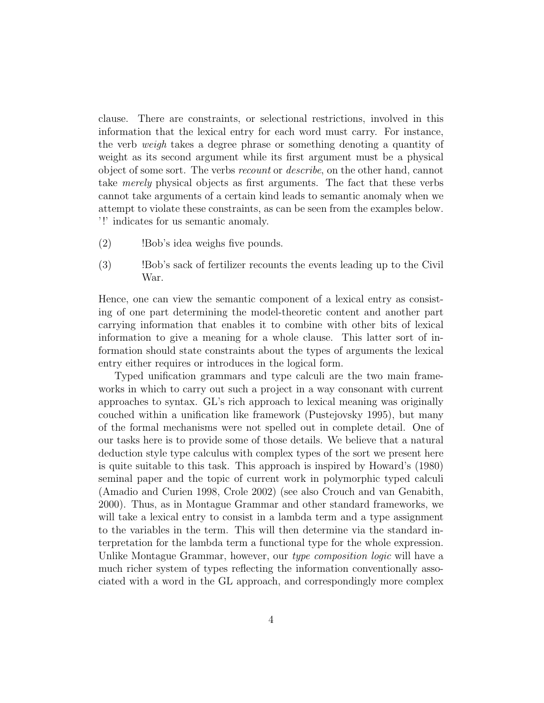clause. There are constraints, or selectional restrictions, involved in this information that the lexical entry for each word must carry. For instance, the verb weigh takes a degree phrase or something denoting a quantity of weight as its second argument while its first argument must be a physical object of some sort. The verbs recount or describe, on the other hand, cannot take merely physical objects as first arguments. The fact that these verbs cannot take arguments of a certain kind leads to semantic anomaly when we attempt to violate these constraints, as can be seen from the examples below. '!' indicates for us semantic anomaly.

- (2) !Bob's idea weighs five pounds.
- (3) !Bob's sack of fertilizer recounts the events leading up to the Civil War.

Hence, one can view the semantic component of a lexical entry as consisting of one part determining the model-theoretic content and another part carrying information that enables it to combine with other bits of lexical information to give a meaning for a whole clause. This latter sort of information should state constraints about the types of arguments the lexical entry either requires or introduces in the logical form.

Typed unification grammars and type calculi are the two main frameworks in which to carry out such a project in a way consonant with current approaches to syntax. GL's rich approach to lexical meaning was originally couched within a unification like framework (Pustejovsky 1995), but many of the formal mechanisms were not spelled out in complete detail. One of our tasks here is to provide some of those details. We believe that a natural deduction style type calculus with complex types of the sort we present here is quite suitable to this task. This approach is inspired by Howard's (1980) seminal paper and the topic of current work in polymorphic typed calculi (Amadio and Curien 1998, Crole 2002) (see also Crouch and van Genabith, 2000). Thus, as in Montague Grammar and other standard frameworks, we will take a lexical entry to consist in a lambda term and a type assignment to the variables in the term. This will then determine via the standard interpretation for the lambda term a functional type for the whole expression. Unlike Montague Grammar, however, our type composition logic will have a much richer system of types reflecting the information conventionally associated with a word in the GL approach, and correspondingly more complex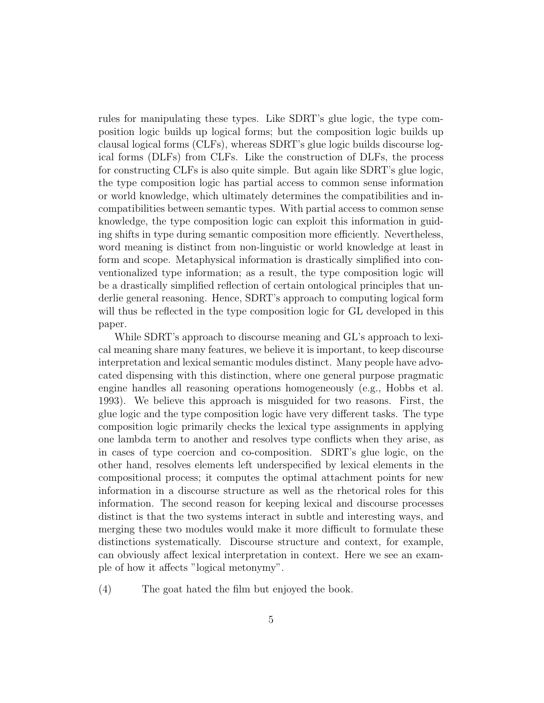rules for manipulating these types. Like SDRT's glue logic, the type composition logic builds up logical forms; but the composition logic builds up clausal logical forms (CLFs), whereas SDRT's glue logic builds discourse logical forms (DLFs) from CLFs. Like the construction of DLFs, the process for constructing CLFs is also quite simple. But again like SDRT's glue logic, the type composition logic has partial access to common sense information or world knowledge, which ultimately determines the compatibilities and incompatibilities between semantic types. With partial access to common sense knowledge, the type composition logic can exploit this information in guiding shifts in type during semantic composition more efficiently. Nevertheless, word meaning is distinct from non-linguistic or world knowledge at least in form and scope. Metaphysical information is drastically simplified into conventionalized type information; as a result, the type composition logic will be a drastically simplified reflection of certain ontological principles that underlie general reasoning. Hence, SDRT's approach to computing logical form will thus be reflected in the type composition logic for GL developed in this paper.

While SDRT's approach to discourse meaning and GL's approach to lexical meaning share many features, we believe it is important, to keep discourse interpretation and lexical semantic modules distinct. Many people have advocated dispensing with this distinction, where one general purpose pragmatic engine handles all reasoning operations homogeneously (e.g., Hobbs et al. 1993). We believe this approach is misguided for two reasons. First, the glue logic and the type composition logic have very different tasks. The type composition logic primarily checks the lexical type assignments in applying one lambda term to another and resolves type conflicts when they arise, as in cases of type coercion and co-composition. SDRT's glue logic, on the other hand, resolves elements left underspecified by lexical elements in the compositional process; it computes the optimal attachment points for new information in a discourse structure as well as the rhetorical roles for this information. The second reason for keeping lexical and discourse processes distinct is that the two systems interact in subtle and interesting ways, and merging these two modules would make it more difficult to formulate these distinctions systematically. Discourse structure and context, for example, can obviously affect lexical interpretation in context. Here we see an example of how it affects "logical metonymy".

(4) The goat hated the film but enjoyed the book.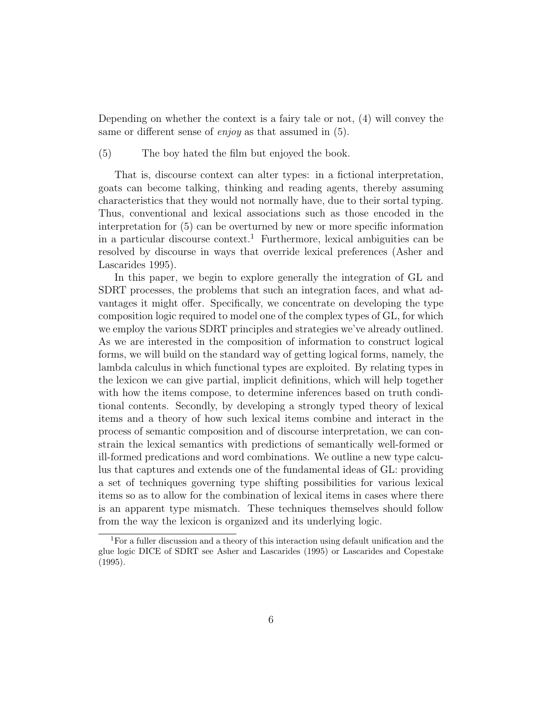Depending on whether the context is a fairy tale or not, (4) will convey the same or different sense of *enjoy* as that assumed in  $(5)$ .

#### (5) The boy hated the film but enjoyed the book.

That is, discourse context can alter types: in a fictional interpretation, goats can become talking, thinking and reading agents, thereby assuming characteristics that they would not normally have, due to their sortal typing. Thus, conventional and lexical associations such as those encoded in the interpretation for (5) can be overturned by new or more specific information in a particular discourse context.<sup>1</sup> Furthermore, lexical ambiguities can be resolved by discourse in ways that override lexical preferences (Asher and Lascarides 1995).

In this paper, we begin to explore generally the integration of GL and SDRT processes, the problems that such an integration faces, and what advantages it might offer. Specifically, we concentrate on developing the type composition logic required to model one of the complex types of GL, for which we employ the various SDRT principles and strategies we've already outlined. As we are interested in the composition of information to construct logical forms, we will build on the standard way of getting logical forms, namely, the lambda calculus in which functional types are exploited. By relating types in the lexicon we can give partial, implicit definitions, which will help together with how the items compose, to determine inferences based on truth conditional contents. Secondly, by developing a strongly typed theory of lexical items and a theory of how such lexical items combine and interact in the process of semantic composition and of discourse interpretation, we can constrain the lexical semantics with predictions of semantically well-formed or ill-formed predications and word combinations. We outline a new type calculus that captures and extends one of the fundamental ideas of GL: providing a set of techniques governing type shifting possibilities for various lexical items so as to allow for the combination of lexical items in cases where there is an apparent type mismatch. These techniques themselves should follow from the way the lexicon is organized and its underlying logic.

<sup>1</sup>For a fuller discussion and a theory of this interaction using default unification and the glue logic DICE of SDRT see Asher and Lascarides (1995) or Lascarides and Copestake (1995).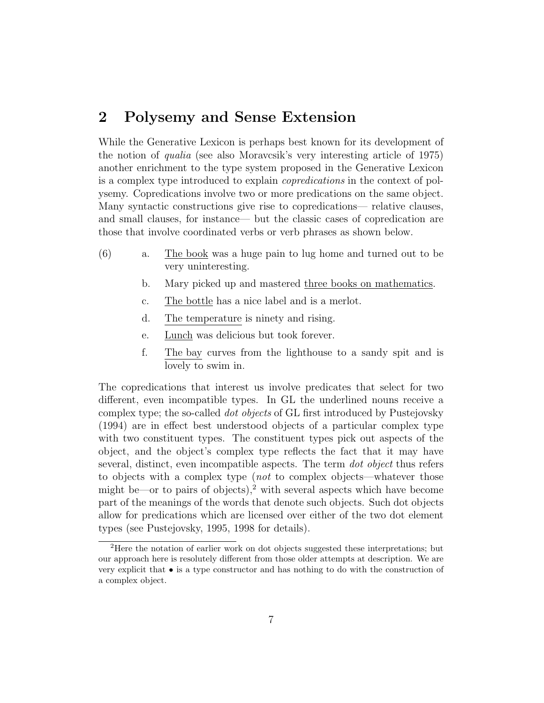# 2 Polysemy and Sense Extension

While the Generative Lexicon is perhaps best known for its development of the notion of qualia (see also Moravcsik's very interesting article of 1975) another enrichment to the type system proposed in the Generative Lexicon is a complex type introduced to explain copredications in the context of polysemy. Copredications involve two or more predications on the same object. Many syntactic constructions give rise to copredications— relative clauses, and small clauses, for instance— but the classic cases of copredication are those that involve coordinated verbs or verb phrases as shown below.

- (6) a. The book was a huge pain to lug home and turned out to be very uninteresting.
	- b. Mary picked up and mastered three books on mathematics.
	- c. The bottle has a nice label and is a merlot.
	- d. The temperature is ninety and rising.
	- e. Lunch was delicious but took forever.
	- f. The bay curves from the lighthouse to a sandy spit and is lovely to swim in.

The copredications that interest us involve predicates that select for two different, even incompatible types. In GL the underlined nouns receive a complex type; the so-called dot objects of GL first introduced by Pustejovsky (1994) are in effect best understood objects of a particular complex type with two constituent types. The constituent types pick out aspects of the object, and the object's complex type reflects the fact that it may have several, distinct, even incompatible aspects. The term *dot object* thus refers to objects with a complex type (not to complex objects—whatever those might be—or to pairs of objects),<sup>2</sup> with several aspects which have become part of the meanings of the words that denote such objects. Such dot objects allow for predications which are licensed over either of the two dot element types (see Pustejovsky, 1995, 1998 for details).

<sup>&</sup>lt;sup>2</sup>Here the notation of earlier work on dot objects suggested these interpretations; but our approach here is resolutely different from those older attempts at description. We are very explicit that  $\bullet$  is a type constructor and has nothing to do with the construction of a complex object.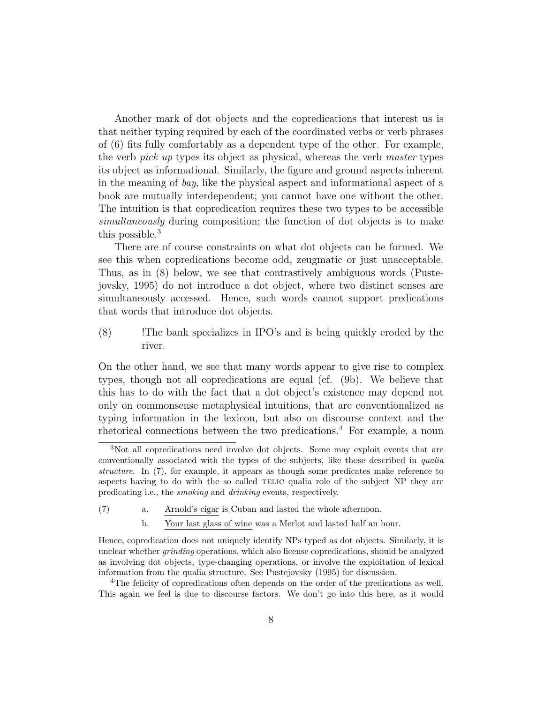Another mark of dot objects and the copredications that interest us is that neither typing required by each of the coordinated verbs or verb phrases of (6) fits fully comfortably as a dependent type of the other. For example, the verb pick up types its object as physical, whereas the verb master types its object as informational. Similarly, the figure and ground aspects inherent in the meaning of bay, like the physical aspect and informational aspect of a book are mutually interdependent; you cannot have one without the other. The intuition is that copredication requires these two types to be accessible simultaneously during composition; the function of dot objects is to make this possible.<sup>3</sup>

There are of course constraints on what dot objects can be formed. We see this when copredications become odd, zeugmatic or just unacceptable. Thus, as in (8) below, we see that contrastively ambiguous words (Pustejovsky, 1995) do not introduce a dot object, where two distinct senses are simultaneously accessed. Hence, such words cannot support predications that words that introduce dot objects.

(8) !The bank specializes in IPO's and is being quickly eroded by the river.

On the other hand, we see that many words appear to give rise to complex types, though not all copredications are equal (cf. (9b). We believe that this has to do with the fact that a dot object's existence may depend not only on commonsense metaphysical intuitions, that are conventionalized as typing information in the lexicon, but also on discourse context and the rhetorical connections between the two predications.<sup>4</sup> For example, a noun

(7) a. Arnold's cigar is Cuban and lasted the whole afternoon.

<sup>4</sup>The felicity of copredications often depends on the order of the predications as well. This again we feel is due to discourse factors. We don't go into this here, as it would

<sup>3</sup>Not all copredications need involve dot objects. Some may exploit events that are conventionally associated with the types of the subjects, like those described in qualia structure. In (7), for example, it appears as though some predicates make reference to aspects having to do with the so called TELIC qualia role of the subject NP they are predicating i.e., the smoking and drinking events, respectively.

b. Your last glass of wine was a Merlot and lasted half an hour.

Hence, copredication does not uniquely identify NPs typed as dot objects. Similarly, it is unclear whether grinding operations, which also license copredications, should be analyzed as involving dot objects, type-changing operations, or involve the exploitation of lexical information from the qualia structure. See Pustejovsky (1995) for discussion.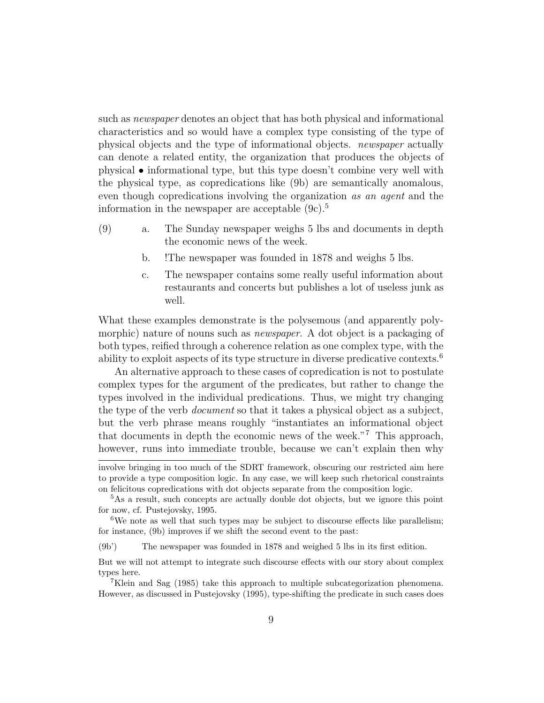such as newspaper denotes an object that has both physical and informational characteristics and so would have a complex type consisting of the type of physical objects and the type of informational objects. newspaper actually can denote a related entity, the organization that produces the objects of physical • informational type, but this type doesn't combine very well with the physical type, as copredications like (9b) are semantically anomalous, even though copredications involving the organization as an agent and the information in the newspaper are acceptable  $(9c)$ .<sup>5</sup>

- (9) a. The Sunday newspaper weighs 5 lbs and documents in depth the economic news of the week.
	- b. !The newspaper was founded in 1878 and weighs 5 lbs.
	- c. The newspaper contains some really useful information about restaurants and concerts but publishes a lot of useless junk as well.

What these examples demonstrate is the polysemous (and apparently polymorphic) nature of nouns such as *newspaper*. A dot object is a packaging of both types, reified through a coherence relation as one complex type, with the ability to exploit aspects of its type structure in diverse predicative contexts.<sup>6</sup>

An alternative approach to these cases of copredication is not to postulate complex types for the argument of the predicates, but rather to change the types involved in the individual predications. Thus, we might try changing the type of the verb document so that it takes a physical object as a subject, but the verb phrase means roughly "instantiates an informational object that documents in depth the economic news of the week."<sup>7</sup> This approach, however, runs into immediate trouble, because we can't explain then why

involve bringing in too much of the SDRT framework, obscuring our restricted aim here to provide a type composition logic. In any case, we will keep such rhetorical constraints on felicitous copredications with dot objects separate from the composition logic.

<sup>&</sup>lt;sup>5</sup>As a result, such concepts are actually double dot objects, but we ignore this point for now, cf. Pustejovsky, 1995.

 ${}^{6}$ We note as well that such types may be subject to discourse effects like parallelism; for instance, (9b) improves if we shift the second event to the past:

<sup>(9</sup>b') The newspaper was founded in 1878 and weighed 5 lbs in its first edition.

But we will not attempt to integrate such discourse effects with our story about complex types here.

<sup>7</sup>Klein and Sag (1985) take this approach to multiple subcategorization phenomena. However, as discussed in Pustejovsky (1995), type-shifting the predicate in such cases does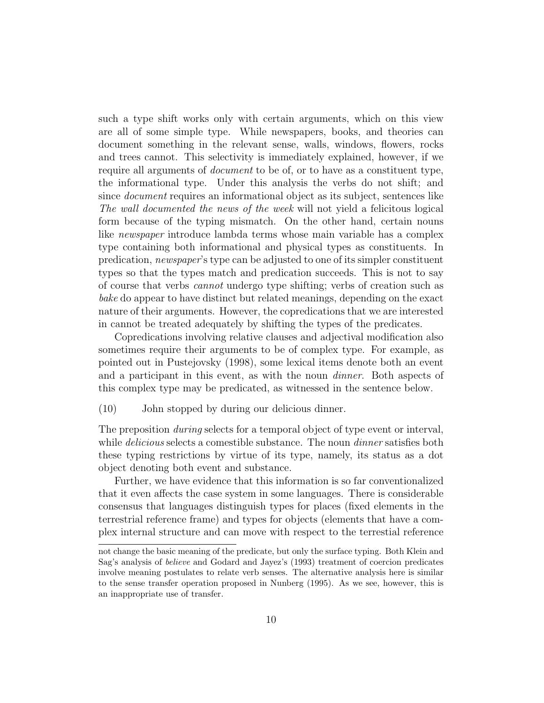such a type shift works only with certain arguments, which on this view are all of some simple type. While newspapers, books, and theories can document something in the relevant sense, walls, windows, flowers, rocks and trees cannot. This selectivity is immediately explained, however, if we require all arguments of document to be of, or to have as a constituent type, the informational type. Under this analysis the verbs do not shift; and since document requires an informational object as its subject, sentences like The wall documented the news of the week will not yield a felicitous logical form because of the typing mismatch. On the other hand, certain nouns like newspaper introduce lambda terms whose main variable has a complex type containing both informational and physical types as constituents. In predication, newspaper's type can be adjusted to one of its simpler constituent types so that the types match and predication succeeds. This is not to say of course that verbs cannot undergo type shifting; verbs of creation such as bake do appear to have distinct but related meanings, depending on the exact nature of their arguments. However, the copredications that we are interested in cannot be treated adequately by shifting the types of the predicates.

Copredications involving relative clauses and adjectival modification also sometimes require their arguments to be of complex type. For example, as pointed out in Pustejovsky (1998), some lexical items denote both an event and a participant in this event, as with the noun dinner. Both aspects of this complex type may be predicated, as witnessed in the sentence below.

(10) John stopped by during our delicious dinner.

The preposition during selects for a temporal object of type event or interval, while *delicious* selects a comestible substance. The noun *dinner* satisfies both these typing restrictions by virtue of its type, namely, its status as a dot object denoting both event and substance.

Further, we have evidence that this information is so far conventionalized that it even affects the case system in some languages. There is considerable consensus that languages distinguish types for places (fixed elements in the terrestrial reference frame) and types for objects (elements that have a complex internal structure and can move with respect to the terrestial reference

not change the basic meaning of the predicate, but only the surface typing. Both Klein and Sag's analysis of believe and Godard and Jayez's (1993) treatment of coercion predicates involve meaning postulates to relate verb senses. The alternative analysis here is similar to the sense transfer operation proposed in Nunberg (1995). As we see, however, this is an inappropriate use of transfer.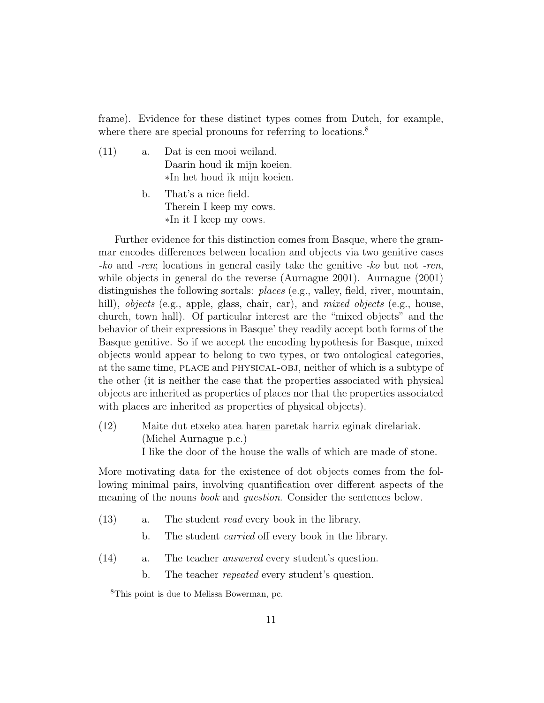frame). Evidence for these distinct types comes from Dutch, for example, where there are special pronouns for referring to locations.<sup>8</sup>

- (11) a. Dat is een mooi weiland. Daarin houd ik mijn koeien. ∗In het houd ik mijn koeien.
	- b. That's a nice field. Therein I keep my cows. ∗In it I keep my cows.

Further evidence for this distinction comes from Basque, where the grammar encodes differences between location and objects via two genitive cases -ko and -ren; locations in general easily take the genitive -ko but not -ren, while objects in general do the reverse (Aurnague 2001). Aurnague (2001) distinguishes the following sortals: *places* (e.g., valley, field, river, mountain, hill), *objects* (e.g., apple, glass, chair, car), and *mixed objects* (e.g., house, church, town hall). Of particular interest are the "mixed objects" and the behavior of their expressions in Basque' they readily accept both forms of the Basque genitive. So if we accept the encoding hypothesis for Basque, mixed objects would appear to belong to two types, or two ontological categories, at the same time, place and physical-obj, neither of which is a subtype of the other (it is neither the case that the properties associated with physical objects are inherited as properties of places nor that the properties associated with places are inherited as properties of physical objects).

(12) Maite dut etxeko atea haren paretak harriz eginak direlariak. (Michel Aurnague p.c.) I like the door of the house the walls of which are made of stone.

More motivating data for the existence of dot objects comes from the following minimal pairs, involving quantification over different aspects of the meaning of the nouns *book* and *question*. Consider the sentences below.

- (13) a. The student read every book in the library.
	- b. The student carried off every book in the library.
- (14) a. The teacher answered every student's question.
	- b. The teacher *repeated* every student's question.

<sup>8</sup>This point is due to Melissa Bowerman, pc.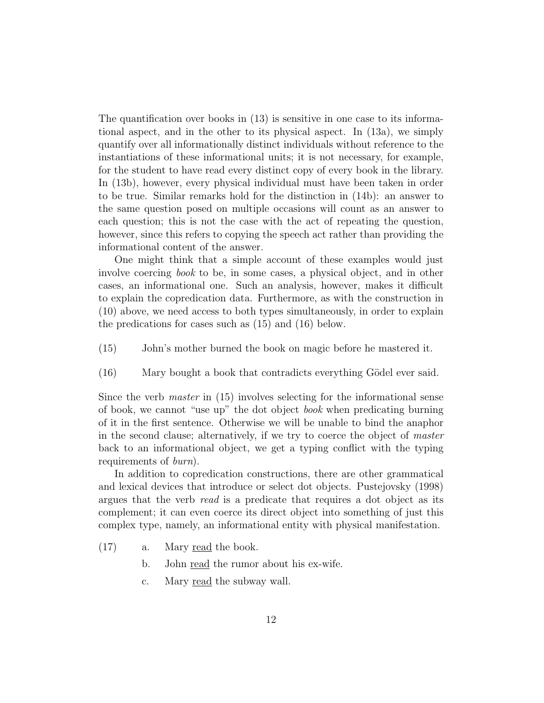The quantification over books in (13) is sensitive in one case to its informational aspect, and in the other to its physical aspect. In (13a), we simply quantify over all informationally distinct individuals without reference to the instantiations of these informational units; it is not necessary, for example, for the student to have read every distinct copy of every book in the library. In (13b), however, every physical individual must have been taken in order to be true. Similar remarks hold for the distinction in (14b): an answer to the same question posed on multiple occasions will count as an answer to each question; this is not the case with the act of repeating the question, however, since this refers to copying the speech act rather than providing the informational content of the answer.

One might think that a simple account of these examples would just involve coercing book to be, in some cases, a physical object, and in other cases, an informational one. Such an analysis, however, makes it difficult to explain the copredication data. Furthermore, as with the construction in (10) above, we need access to both types simultaneously, in order to explain the predications for cases such as (15) and (16) below.

- (15) John's mother burned the book on magic before he mastered it.
- $(16)$  Mary bought a book that contradicts everything Gödel ever said.

Since the verb master in (15) involves selecting for the informational sense of book, we cannot "use up" the dot object book when predicating burning of it in the first sentence. Otherwise we will be unable to bind the anaphor in the second clause; alternatively, if we try to coerce the object of master back to an informational object, we get a typing conflict with the typing requirements of burn).

In addition to copredication constructions, there are other grammatical and lexical devices that introduce or select dot objects. Pustejovsky (1998) argues that the verb read is a predicate that requires a dot object as its complement; it can even coerce its direct object into something of just this complex type, namely, an informational entity with physical manifestation.

- (17) a. Mary read the book.
	- b. John read the rumor about his ex-wife.
	- c. Mary read the subway wall.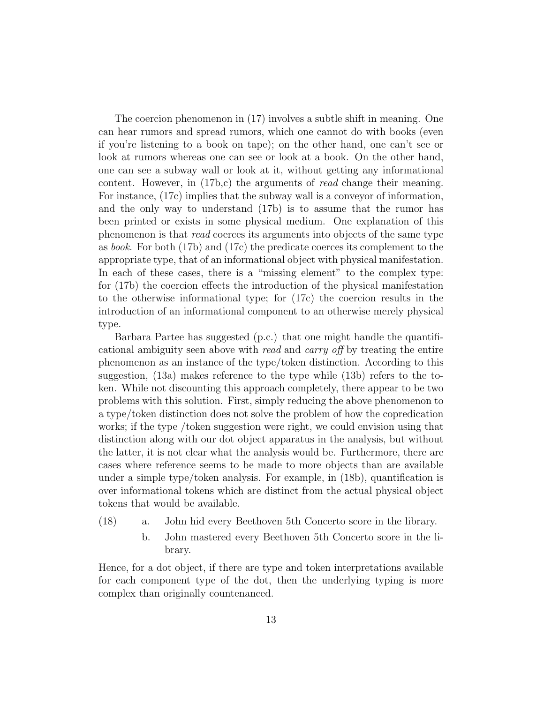The coercion phenomenon in (17) involves a subtle shift in meaning. One can hear rumors and spread rumors, which one cannot do with books (even if you're listening to a book on tape); on the other hand, one can't see or look at rumors whereas one can see or look at a book. On the other hand, one can see a subway wall or look at it, without getting any informational content. However, in (17b,c) the arguments of read change their meaning. For instance, (17c) implies that the subway wall is a conveyor of information, and the only way to understand (17b) is to assume that the rumor has been printed or exists in some physical medium. One explanation of this phenomenon is that read coerces its arguments into objects of the same type as book. For both (17b) and (17c) the predicate coerces its complement to the appropriate type, that of an informational object with physical manifestation. In each of these cases, there is a "missing element" to the complex type: for (17b) the coercion effects the introduction of the physical manifestation to the otherwise informational type; for (17c) the coercion results in the introduction of an informational component to an otherwise merely physical type.

Barbara Partee has suggested (p.c.) that one might handle the quantificational ambiguity seen above with read and carry off by treating the entire phenomenon as an instance of the type/token distinction. According to this suggestion, (13a) makes reference to the type while (13b) refers to the token. While not discounting this approach completely, there appear to be two problems with this solution. First, simply reducing the above phenomenon to a type/token distinction does not solve the problem of how the copredication works; if the type /token suggestion were right, we could envision using that distinction along with our dot object apparatus in the analysis, but without the latter, it is not clear what the analysis would be. Furthermore, there are cases where reference seems to be made to more objects than are available under a simple type/token analysis. For example, in (18b), quantification is over informational tokens which are distinct from the actual physical object tokens that would be available.

- (18) a. John hid every Beethoven 5th Concerto score in the library.
	- b. John mastered every Beethoven 5th Concerto score in the library.

Hence, for a dot object, if there are type and token interpretations available for each component type of the dot, then the underlying typing is more complex than originally countenanced.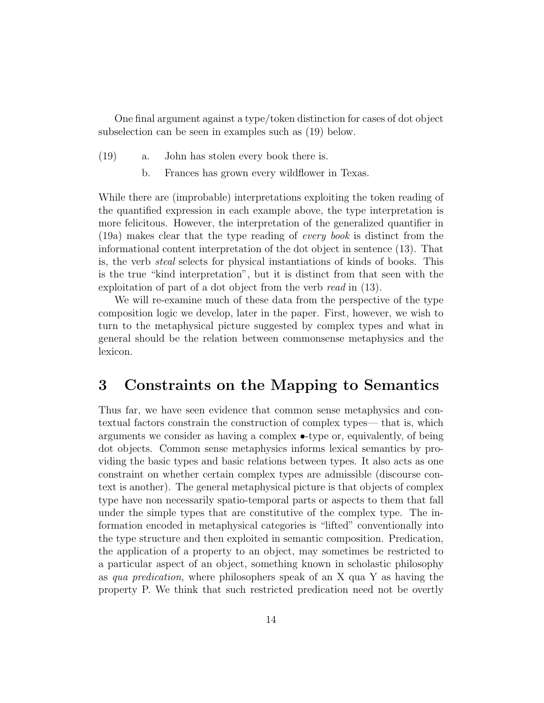One final argument against a type/token distinction for cases of dot object subselection can be seen in examples such as (19) below.

- (19) a. John has stolen every book there is.
	- b. Frances has grown every wildflower in Texas.

While there are (improbable) interpretations exploiting the token reading of the quantified expression in each example above, the type interpretation is more felicitous. However, the interpretation of the generalized quantifier in (19a) makes clear that the type reading of every book is distinct from the informational content interpretation of the dot object in sentence (13). That is, the verb steal selects for physical instantiations of kinds of books. This is the true "kind interpretation", but it is distinct from that seen with the exploitation of part of a dot object from the verb *read* in  $(13)$ .

We will re-examine much of these data from the perspective of the type composition logic we develop, later in the paper. First, however, we wish to turn to the metaphysical picture suggested by complex types and what in general should be the relation between commonsense metaphysics and the lexicon.

# 3 Constraints on the Mapping to Semantics

Thus far, we have seen evidence that common sense metaphysics and contextual factors constrain the construction of complex types— that is, which arguments we consider as having a complex •-type or, equivalently, of being dot objects. Common sense metaphysics informs lexical semantics by providing the basic types and basic relations between types. It also acts as one constraint on whether certain complex types are admissible (discourse context is another). The general metaphysical picture is that objects of complex type have non necessarily spatio-temporal parts or aspects to them that fall under the simple types that are constitutive of the complex type. The information encoded in metaphysical categories is "lifted" conventionally into the type structure and then exploited in semantic composition. Predication, the application of a property to an object, may sometimes be restricted to a particular aspect of an object, something known in scholastic philosophy as qua predication, where philosophers speak of an X qua Y as having the property P. We think that such restricted predication need not be overtly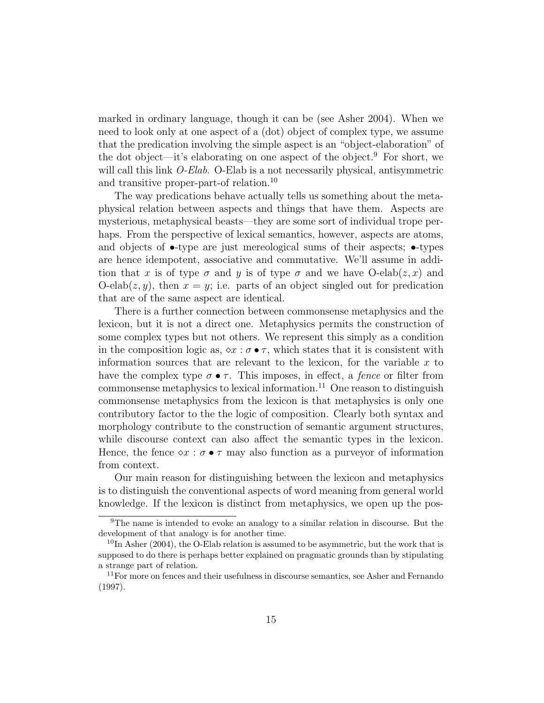marked in ordinary language, though it can be (see Asher 2004). When we need to look only at one aspect of a (dot) object of complex type, we assume that the predication involving the simple aspect is an "object-elaboration" of the dot object—it's elaborating on one aspect of the object.<sup>9</sup> For short, we will call this link *O-Elab*. O-Elab is a not necessarily physical, antisymmetric and transitive proper-part-of relation.<sup>10</sup>

The way predications behave actually tells us something about the metaphysical relation between aspects and things that have them. Aspects are mysterious, metaphysical beasts—they are some sort of individual trope perhaps. From the perspective of lexical semantics, however, aspects are atoms, and objects of •-type are just mereological sums of their aspects; •-types are hence idempotent, associative and commutative. We'll assume in addition that x is of type  $\sigma$  and y is of type  $\sigma$  and we have O-elab( $z, x$ ) and O-elab(*z*, *y*), then  $x = y$ ; i.e. parts of an object singled out for predication that are of the same aspect are identical.

There is a further connection between commonsense metaphysics and the lexicon, but it is not a direct one. Metaphysics permits the construction of some complex types but not others. We represent this simply as a condition in the composition logic as,  $\infty x : \sigma \bullet \tau$ , which states that it is consistent with information sources that are relevant to the lexicon, for the variable  $x$  to have the complex type  $\sigma \bullet \tau$ . This imposes, in effect, a *fence* or filter from  $commonsense$  metaphysics to lexical information.<sup>11</sup> One reason to distinguish commonsense metaphysics from the lexicon is that metaphysics is only one contributory factor to the the logic of composition. Clearly both syntax and morphology contribute to the construction of semantic argument structures, while discourse context can also affect the semantic types in the lexicon. Hence, the fence  $\infty x : \sigma \bullet \tau$  may also function as a purveyor of information from context.

Our main reason for distinguishing between the lexicon and metaphysics is to distinguish the conventional aspects of word meaning from general world knowledge. If the lexicon is distinct from metaphysics, we open up the pos-

<sup>9</sup>The name is intended to evoke an analogy to a similar relation in discourse. But the development of that analogy is for another time.

 $10$ In Asher (2004), the O-Elab relation is assumed to be asymmetric, but the work that is supposed to do there is perhaps better explained on pragmatic grounds than by stipulating a strange part of relation.

<sup>&</sup>lt;sup>11</sup>For more on fences and their usefulness in discourse semantics, see Asher and Fernando (1997).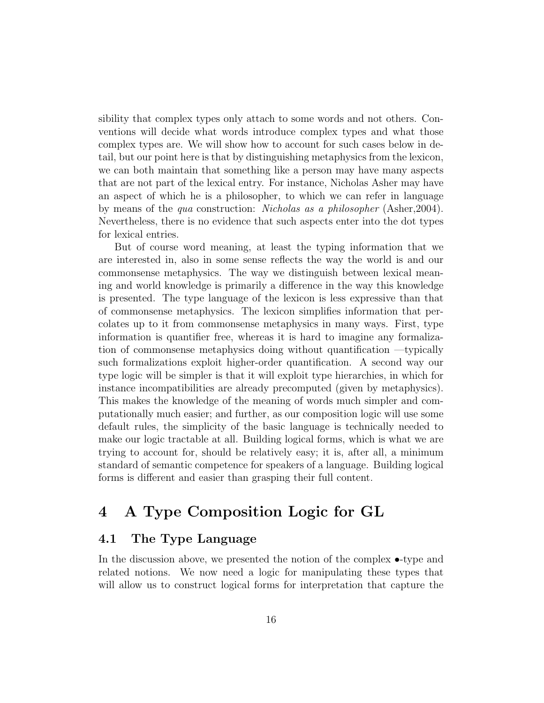sibility that complex types only attach to some words and not others. Conventions will decide what words introduce complex types and what those complex types are. We will show how to account for such cases below in detail, but our point here is that by distinguishing metaphysics from the lexicon, we can both maintain that something like a person may have many aspects that are not part of the lexical entry. For instance, Nicholas Asher may have an aspect of which he is a philosopher, to which we can refer in language by means of the qua construction: Nicholas as a philosopher (Asher,2004). Nevertheless, there is no evidence that such aspects enter into the dot types for lexical entries.

But of course word meaning, at least the typing information that we are interested in, also in some sense reflects the way the world is and our commonsense metaphysics. The way we distinguish between lexical meaning and world knowledge is primarily a difference in the way this knowledge is presented. The type language of the lexicon is less expressive than that of commonsense metaphysics. The lexicon simplifies information that percolates up to it from commonsense metaphysics in many ways. First, type information is quantifier free, whereas it is hard to imagine any formalization of commonsense metaphysics doing without quantification —typically such formalizations exploit higher-order quantification. A second way our type logic will be simpler is that it will exploit type hierarchies, in which for instance incompatibilities are already precomputed (given by metaphysics). This makes the knowledge of the meaning of words much simpler and computationally much easier; and further, as our composition logic will use some default rules, the simplicity of the basic language is technically needed to make our logic tractable at all. Building logical forms, which is what we are trying to account for, should be relatively easy; it is, after all, a minimum standard of semantic competence for speakers of a language. Building logical forms is different and easier than grasping their full content.

# 4 A Type Composition Logic for GL

## 4.1 The Type Language

In the discussion above, we presented the notion of the complex  $\bullet$ -type and related notions. We now need a logic for manipulating these types that will allow us to construct logical forms for interpretation that capture the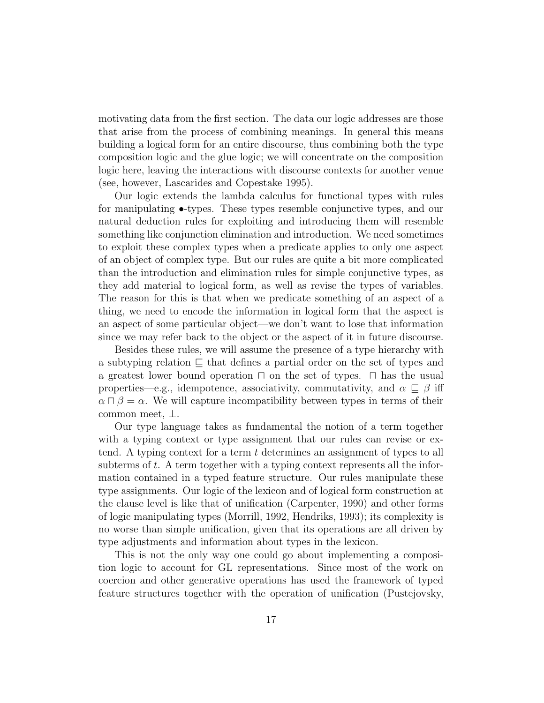motivating data from the first section. The data our logic addresses are those that arise from the process of combining meanings. In general this means building a logical form for an entire discourse, thus combining both the type composition logic and the glue logic; we will concentrate on the composition logic here, leaving the interactions with discourse contexts for another venue (see, however, Lascarides and Copestake 1995).

Our logic extends the lambda calculus for functional types with rules for manipulating •-types. These types resemble conjunctive types, and our natural deduction rules for exploiting and introducing them will resemble something like conjunction elimination and introduction. We need sometimes to exploit these complex types when a predicate applies to only one aspect of an object of complex type. But our rules are quite a bit more complicated than the introduction and elimination rules for simple conjunctive types, as they add material to logical form, as well as revise the types of variables. The reason for this is that when we predicate something of an aspect of a thing, we need to encode the information in logical form that the aspect is an aspect of some particular object—we don't want to lose that information since we may refer back to the object or the aspect of it in future discourse.

Besides these rules, we will assume the presence of a type hierarchy with a subtyping relation  $\Box$  that defines a partial order on the set of types and a greatest lower bound operation  $\sqcap$  on the set of types.  $\sqcap$  has the usual properties—e.g., idempotence, associativity, commutativity, and  $\alpha \subseteq \beta$  iff  $\alpha \cap \beta = \alpha$ . We will capture incompatibility between types in terms of their common meet, ⊥.

Our type language takes as fundamental the notion of a term together with a typing context or type assignment that our rules can revise or extend. A typing context for a term t determines an assignment of types to all subterms of  $t$ . A term together with a typing context represents all the information contained in a typed feature structure. Our rules manipulate these type assignments. Our logic of the lexicon and of logical form construction at the clause level is like that of unification (Carpenter, 1990) and other forms of logic manipulating types (Morrill, 1992, Hendriks, 1993); its complexity is no worse than simple unification, given that its operations are all driven by type adjustments and information about types in the lexicon.

This is not the only way one could go about implementing a composition logic to account for GL representations. Since most of the work on coercion and other generative operations has used the framework of typed feature structures together with the operation of unification (Pustejovsky,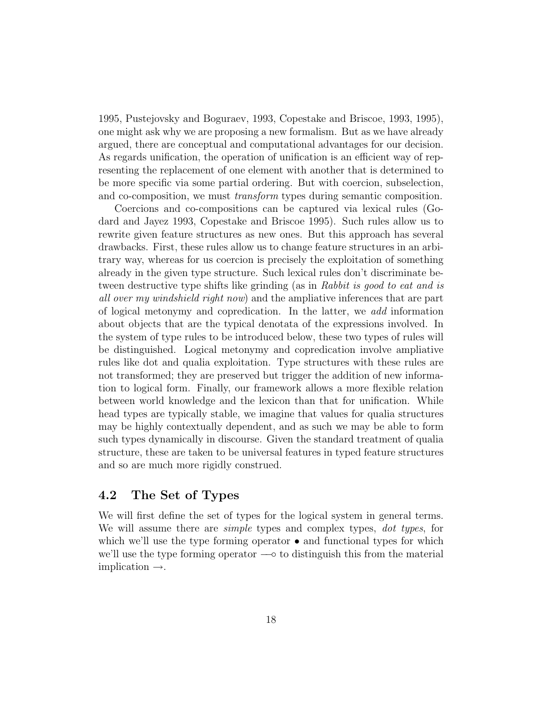1995, Pustejovsky and Boguraev, 1993, Copestake and Briscoe, 1993, 1995), one might ask why we are proposing a new formalism. But as we have already argued, there are conceptual and computational advantages for our decision. As regards unification, the operation of unification is an efficient way of representing the replacement of one element with another that is determined to be more specific via some partial ordering. But with coercion, subselection, and co-composition, we must transform types during semantic composition.

Coercions and co-compositions can be captured via lexical rules (Godard and Jayez 1993, Copestake and Briscoe 1995). Such rules allow us to rewrite given feature structures as new ones. But this approach has several drawbacks. First, these rules allow us to change feature structures in an arbitrary way, whereas for us coercion is precisely the exploitation of something already in the given type structure. Such lexical rules don't discriminate between destructive type shifts like grinding (as in Rabbit is good to eat and is all over my windshield right now) and the ampliative inferences that are part of logical metonymy and copredication. In the latter, we add information about objects that are the typical denotata of the expressions involved. In the system of type rules to be introduced below, these two types of rules will be distinguished. Logical metonymy and copredication involve ampliative rules like dot and qualia exploitation. Type structures with these rules are not transformed; they are preserved but trigger the addition of new information to logical form. Finally, our framework allows a more flexible relation between world knowledge and the lexicon than that for unification. While head types are typically stable, we imagine that values for qualia structures may be highly contextually dependent, and as such we may be able to form such types dynamically in discourse. Given the standard treatment of qualia structure, these are taken to be universal features in typed feature structures and so are much more rigidly construed.

### 4.2 The Set of Types

We will first define the set of types for the logical system in general terms. We will assume there are *simple* types and complex types, *dot types*, for which we'll use the type forming operator  $\bullet$  and functional types for which we'll use the type forming operator  $\sim$  to distinguish this from the material implication  $\rightarrow$ .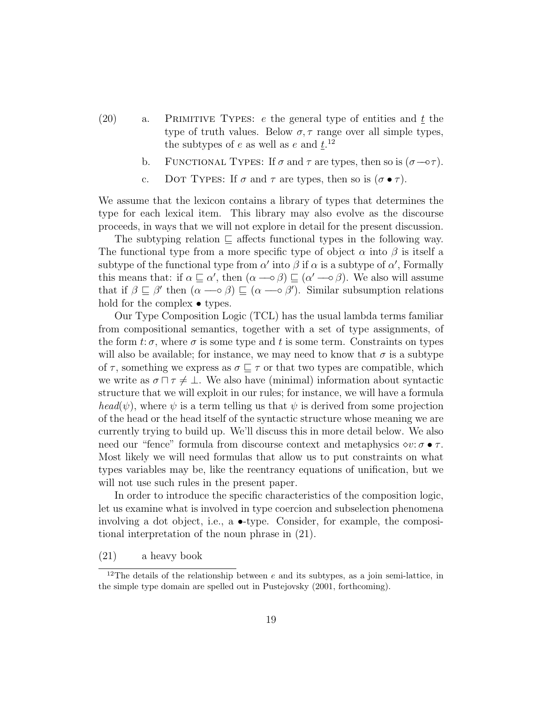- (20) a. PRIMITIVE TYPES: e the general type of entities and  $\underline{t}$  the type of truth values. Below  $\sigma, \tau$  range over all simple types, the subtypes of e as well as e and  $\underline{t}$ .<sup>12</sup>
	- b. FUNCTIONAL TYPES: If  $\sigma$  and  $\tau$  are types, then so is  $(\sigma-\sigma\tau)$ .
	- c. DOT TYPES: If  $\sigma$  and  $\tau$  are types, then so is  $(\sigma \bullet \tau)$ .

We assume that the lexicon contains a library of types that determines the type for each lexical item. This library may also evolve as the discourse proceeds, in ways that we will not explore in detail for the present discussion.

The subtyping relation  $\Box$  affects functional types in the following way. The functional type from a more specific type of object  $\alpha$  into  $\beta$  is itself a subtype of the functional type from  $\alpha'$  into  $\beta$  if  $\alpha$  is a subtype of  $\alpha'$ , Formally this means that: if  $\alpha \sqsubseteq \alpha'$ , then  $(\alpha \rightarrow \beta) \sqsubseteq (\alpha' \rightarrow \beta)$ . We also will assume that if  $\beta \sqsubseteq \beta'$  then  $(\alpha \longrightarrow \beta) \sqsubseteq (\alpha \longrightarrow \beta')$ . Similar subsumption relations hold for the complex  $\bullet$  types.

Our Type Composition Logic (TCL) has the usual lambda terms familiar from compositional semantics, together with a set of type assignments, of the form  $t:\sigma$ , where  $\sigma$  is some type and t is some term. Constraints on types will also be available; for instance, we may need to know that  $\sigma$  is a subtype of  $\tau$ , something we express as  $\sigma \sqsubseteq \tau$  or that two types are compatible, which we write as  $\sigma \sqcap \tau \neq \bot$ . We also have (minimal) information about syntactic structure that we will exploit in our rules; for instance, we will have a formula head( $\psi$ ), where  $\psi$  is a term telling us that  $\psi$  is derived from some projection of the head or the head itself of the syntactic structure whose meaning we are currently trying to build up. We'll discuss this in more detail below. We also need our "fence" formula from discourse context and metaphysics  $\Diamond v: \sigma \bullet \tau$ . Most likely we will need formulas that allow us to put constraints on what types variables may be, like the reentrancy equations of unification, but we will not use such rules in the present paper.

In order to introduce the specific characteristics of the composition logic, let us examine what is involved in type coercion and subselection phenomena involving a dot object, i.e., a •-type. Consider, for example, the compositional interpretation of the noun phrase in (21).

(21) a heavy book

<sup>&</sup>lt;sup>12</sup>The details of the relationship between  $e$  and its subtypes, as a join semi-lattice, in the simple type domain are spelled out in Pustejovsky (2001, forthcoming).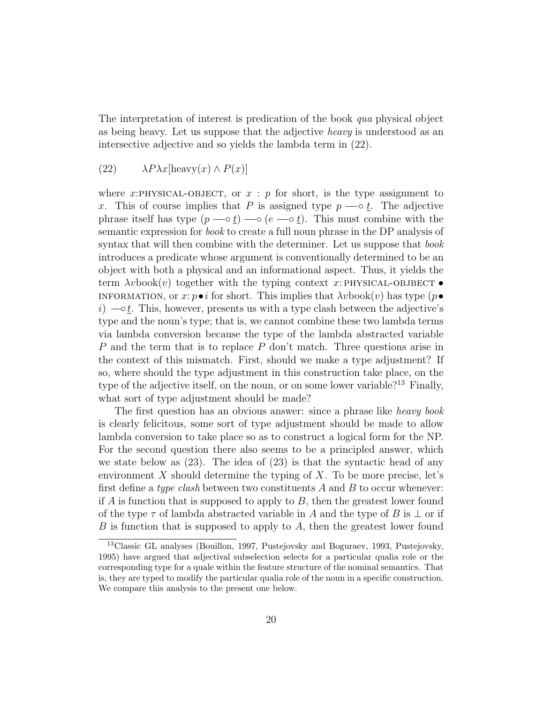The interpretation of interest is predication of the book qua physical object as being heavy. Let us suppose that the adjective heavy is understood as an intersective adjective and so yields the lambda term in (22).

(22)  $\lambda P\lambda x$ [heavy $(x) \wedge P(x)$ ]

where x:PHYSICAL-OBJECT, or  $x : p$  for short, is the type assignment to x. This of course implies that P is assigned type  $p \rightarrow \infty$  t. The adjective phrase itself has type  $(p \rightarrow o \underline{t}) \rightarrow (e \rightarrow o \underline{t})$ . This must combine with the semantic expression for book to create a full noun phrase in the DP analysis of syntax that will then combine with the determiner. Let us suppose that *book* introduces a predicate whose argument is conventionally determined to be an object with both a physical and an informational aspect. Thus, it yields the term  $\lambda v \text{book}(v)$  together with the typing context x: PHYSICAL-OBJBECT  $\bullet$ INFORMATION, or  $x: p \bullet i$  for short. This implies that  $\lambda v \text{book}(v)$  has type  $(p \bullet$  $i) \rightarrow t$ . This, however, presents us with a type clash between the adjective's type and the noun's type; that is, we cannot combine these two lambda terms via lambda conversion because the type of the lambda abstracted variable P and the term that is to replace P don't match. Three questions arise in the context of this mismatch. First, should we make a type adjustment? If so, where should the type adjustment in this construction take place, on the type of the adjective itself, on the noun, or on some lower variable?<sup>13</sup> Finally, what sort of type adjustment should be made?

The first question has an obvious answer: since a phrase like heavy book is clearly felicitous, some sort of type adjustment should be made to allow lambda conversion to take place so as to construct a logical form for the NP. For the second question there also seems to be a principled answer, which we state below as  $(23)$ . The idea of  $(23)$  is that the syntactic head of any environment  $X$  should determine the typing of  $X$ . To be more precise, let's first define a type clash between two constituents  $A$  and  $B$  to occur whenever: if A is function that is supposed to apply to  $B$ , then the greatest lower found of the type  $\tau$  of lambda abstracted variable in A and the type of B is  $\bot$  or if  $B$  is function that is supposed to apply to  $A$ , then the greatest lower found

<sup>13</sup>Classic GL analyses (Bouillon, 1997, Pustejovsky and Boguraev, 1993, Pustejovsky, 1995) have argued that adjectival subselection selects for a particular qualia role or the corresponding type for a quale within the feature structure of the nominal semantics. That is, they are typed to modify the particular qualia role of the noun in a specific construction. We compare this analysis to the present one below.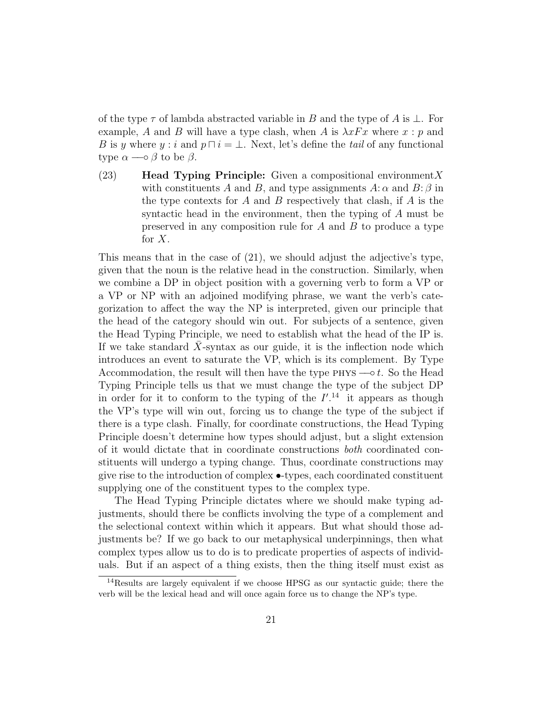of the type  $\tau$  of lambda abstracted variable in B and the type of A is  $\bot$ . For example, A and B will have a type clash, when A is  $\lambda xFx$  where  $x:p$  and B is y where y : i and  $p \sqcap i = \perp$ . Next, let's define the tail of any functional type  $\alpha$  —∘  $\beta$  to be  $\beta$ .

(23) **Head Typing Principle:** Given a compositional environment X with constituents A and B, and type assignments  $A: \alpha$  and  $B: \beta$  in the type contexts for A and B respectively that clash, if A is the syntactic head in the environment, then the typing of A must be preserved in any composition rule for A and B to produce a type for  $X$ .

This means that in the case of (21), we should adjust the adjective's type, given that the noun is the relative head in the construction. Similarly, when we combine a DP in object position with a governing verb to form a VP or a VP or NP with an adjoined modifying phrase, we want the verb's categorization to affect the way the NP is interpreted, given our principle that the head of the category should win out. For subjects of a sentence, given the Head Typing Principle, we need to establish what the head of the IP is. If we take standard  $\overline{X}$ -syntax as our guide, it is the inflection node which introduces an event to saturate the VP, which is its complement. By Type Accommodation, the result will then have the type  $PHYS \rightarrow \mathcal{O}t$ . So the Head Typing Principle tells us that we must change the type of the subject DP in order for it to conform to the typing of the  $I^{\prime}$ .<sup>14</sup> it appears as though the VP's type will win out, forcing us to change the type of the subject if there is a type clash. Finally, for coordinate constructions, the Head Typing Principle doesn't determine how types should adjust, but a slight extension of it would dictate that in coordinate constructions both coordinated constituents will undergo a typing change. Thus, coordinate constructions may give rise to the introduction of complex  $\bullet$ -types, each coordinated constituent supplying one of the constituent types to the complex type.

The Head Typing Principle dictates where we should make typing adjustments, should there be conflicts involving the type of a complement and the selectional context within which it appears. But what should those adjustments be? If we go back to our metaphysical underpinnings, then what complex types allow us to do is to predicate properties of aspects of individuals. But if an aspect of a thing exists, then the thing itself must exist as

<sup>&</sup>lt;sup>14</sup>Results are largely equivalent if we choose HPSG as our syntactic guide; there the verb will be the lexical head and will once again force us to change the NP's type.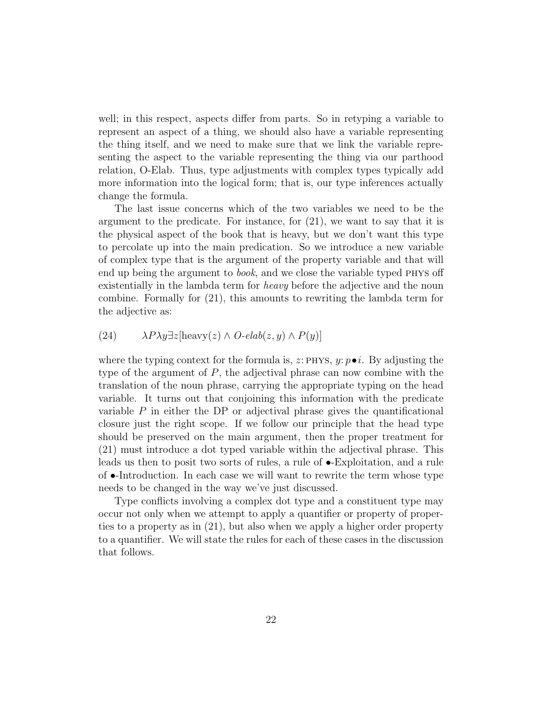well; in this respect, aspects differ from parts. So in retyping a variable to represent an aspect of a thing, we should also have a variable representing the thing itself, and we need to make sure that we link the variable representing the aspect to the variable representing the thing via our parthood relation, O-Elab. Thus, type adjustments with complex types typically add more information into the logical form; that is, our type inferences actually change the formula.

The last issue concerns which of the two variables we need to be the argument to the predicate. For instance, for (21), we want to say that it is the physical aspect of the book that is heavy, but we don't want this type to percolate up into the main predication. So we introduce a new variable of complex type that is the argument of the property variable and that will end up being the argument to book, and we close the variable typed phys off existentially in the lambda term for *heavy* before the adjective and the noun combine. Formally for (21), this amounts to rewriting the lambda term for the adjective as:

(24) 
$$
\lambda P \lambda y \exists z [\text{heavy}(z) \land O\text{-}elab(z, y) \land P(y)]
$$

where the typing context for the formula is, z: PHYS,  $y: p \bullet i$ . By adjusting the type of the argument of P, the adjectival phrase can now combine with the translation of the noun phrase, carrying the appropriate typing on the head variable. It turns out that conjoining this information with the predicate variable P in either the DP or adjectival phrase gives the quantificational closure just the right scope. If we follow our principle that the head type should be preserved on the main argument, then the proper treatment for (21) must introduce a dot typed variable within the adjectival phrase. This leads us then to posit two sorts of rules, a rule of •-Exploitation, and a rule of •-Introduction. In each case we will want to rewrite the term whose type needs to be changed in the way we've just discussed.

Type conflicts involving a complex dot type and a constituent type may occur not only when we attempt to apply a quantifier or property of properties to a property as in (21), but also when we apply a higher order property to a quantifier. We will state the rules for each of these cases in the discussion that follows.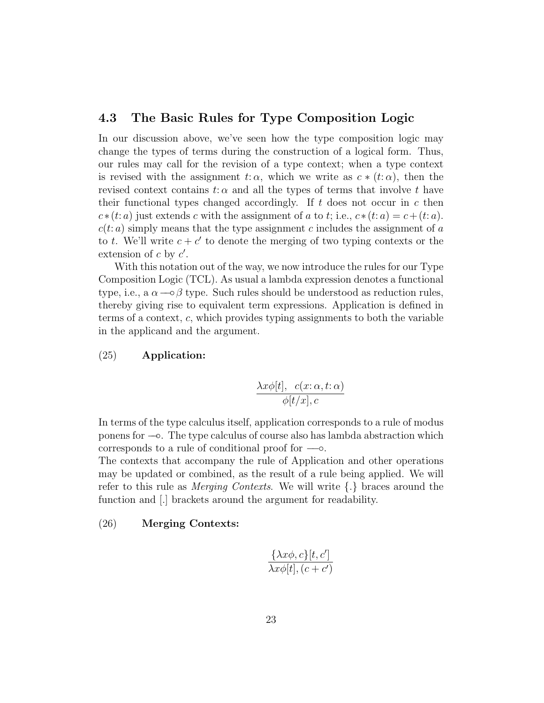## 4.3 The Basic Rules for Type Composition Logic

In our discussion above, we've seen how the type composition logic may change the types of terms during the construction of a logical form. Thus, our rules may call for the revision of a type context; when a type context is revised with the assignment t:  $\alpha$ , which we write as  $c * (t:\alpha)$ , then the revised context contains  $t:\alpha$  and all the types of terms that involve t have their functional types changed accordingly. If  $t$  does not occur in  $c$  then  $c*(t:a)$  just extends c with the assignment of a to t; i.e.,  $c*(t:a) = c+(t:a)$ .  $c(t; a)$  simply means that the type assignment c includes the assignment of a to t. We'll write  $c + c'$  to denote the merging of two typing contexts or the extension of  $c$  by  $c'$ .

With this notation out of the way, we now introduce the rules for our Type Composition Logic (TCL). As usual a lambda expression denotes a functional type, i.e., a  $\alpha$   $\rightarrow$   $\beta$  type. Such rules should be understood as reduction rules, thereby giving rise to equivalent term expressions. Application is defined in terms of a context, c, which provides typing assignments to both the variable in the applicand and the argument.

#### (25) Application:

$$
\frac{\lambda x \phi[t], c(x; \alpha, t; \alpha)}{\phi[t/x], c}
$$

In terms of the type calculus itself, application corresponds to a rule of modus ponens for −−◦. The type calculus of course also has lambda abstraction which corresponds to a rule of conditional proof for −−◦.

The contexts that accompany the rule of Application and other operations may be updated or combined, as the result of a rule being applied. We will refer to this rule as *Merging Contexts*. We will write  $\{\cdot\}$  braces around the function and [.] brackets around the argument for readability.

#### (26) Merging Contexts:

$$
\frac{\{\lambda x\phi, c\}[t, c']}{\lambda x\phi[t], (c + c')}
$$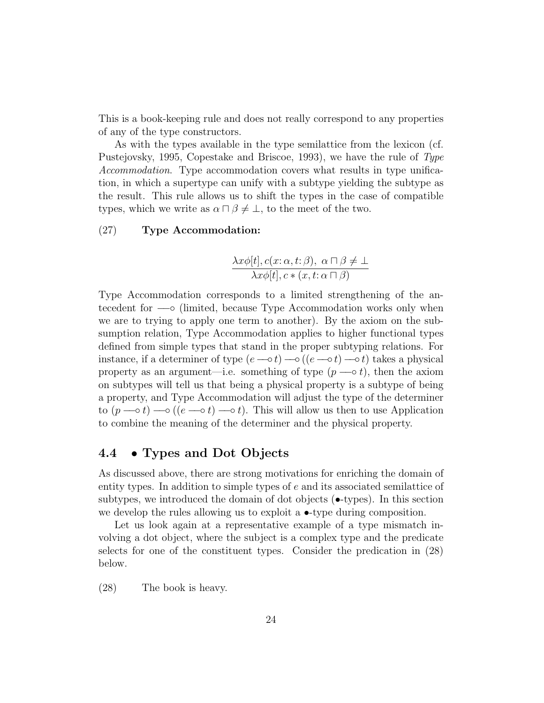This is a book-keeping rule and does not really correspond to any properties of any of the type constructors.

As with the types available in the type semilattice from the lexicon (cf. Pustejovsky, 1995, Copestake and Briscoe, 1993), we have the rule of Type Accommodation. Type accommodation covers what results in type unification, in which a supertype can unify with a subtype yielding the subtype as the result. This rule allows us to shift the types in the case of compatible types, which we write as  $\alpha \sqcap \beta \neq \bot$ , to the meet of the two.

#### (27) Type Accommodation:

$$
\frac{\lambda x \phi[t], c(x; \alpha, t; \beta), \alpha \sqcap \beta \neq \bot}{\lambda x \phi[t], c * (x, t; \alpha \sqcap \beta)}
$$

Type Accommodation corresponds to a limited strengthening of the antecedent for —–◦ (limited, because Type Accommodation works only when we are to trying to apply one term to another). By the axiom on the subsumption relation, Type Accommodation applies to higher functional types defined from simple types that stand in the proper subtyping relations. For instance, if a determiner of type  $(e \rightarrow o t) \rightarrow (e \rightarrow o t) \rightarrow o t$  takes a physical property as an argument—i.e. something of type  $(p \rightarrow \infty t)$ , then the axiom on subtypes will tell us that being a physical property is a subtype of being a property, and Type Accommodation will adjust the type of the determiner to  $(p \rightarrow o t)$   $\rightarrow o$  (( $e \rightarrow o t$ )  $\rightarrow o t$ ). This will allow us then to use Application to combine the meaning of the determiner and the physical property.

## 4.4 • Types and Dot Objects

As discussed above, there are strong motivations for enriching the domain of entity types. In addition to simple types of e and its associated semilattice of subtypes, we introduced the domain of dot objects (•-types). In this section we develop the rules allowing us to exploit a •-type during composition.

Let us look again at a representative example of a type mismatch involving a dot object, where the subject is a complex type and the predicate selects for one of the constituent types. Consider the predication in (28) below.

(28) The book is heavy.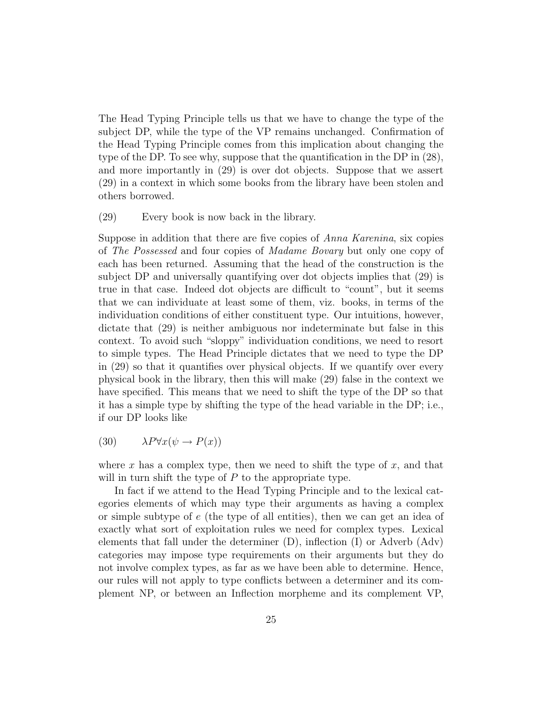The Head Typing Principle tells us that we have to change the type of the subject DP, while the type of the VP remains unchanged. Confirmation of the Head Typing Principle comes from this implication about changing the type of the DP. To see why, suppose that the quantification in the DP in (28), and more importantly in (29) is over dot objects. Suppose that we assert (29) in a context in which some books from the library have been stolen and others borrowed.

### (29) Every book is now back in the library.

Suppose in addition that there are five copies of Anna Karenina, six copies of The Possessed and four copies of Madame Bovary but only one copy of each has been returned. Assuming that the head of the construction is the subject DP and universally quantifying over dot objects implies that (29) is true in that case. Indeed dot objects are difficult to "count", but it seems that we can individuate at least some of them, viz. books, in terms of the individuation conditions of either constituent type. Our intuitions, however, dictate that (29) is neither ambiguous nor indeterminate but false in this context. To avoid such "sloppy" individuation conditions, we need to resort to simple types. The Head Principle dictates that we need to type the DP in (29) so that it quantifies over physical objects. If we quantify over every physical book in the library, then this will make (29) false in the context we have specified. This means that we need to shift the type of the DP so that it has a simple type by shifting the type of the head variable in the DP; i.e., if our DP looks like

$$
(30) \qquad \lambda P \forall x (\psi \to P(x))
$$

where x has a complex type, then we need to shift the type of  $x$ , and that will in turn shift the type of  $P$  to the appropriate type.

In fact if we attend to the Head Typing Principle and to the lexical categories elements of which may type their arguments as having a complex or simple subtype of e (the type of all entities), then we can get an idea of exactly what sort of exploitation rules we need for complex types. Lexical elements that fall under the determiner (D), inflection (I) or Adverb (Adv) categories may impose type requirements on their arguments but they do not involve complex types, as far as we have been able to determine. Hence, our rules will not apply to type conflicts between a determiner and its complement NP, or between an Inflection morpheme and its complement VP,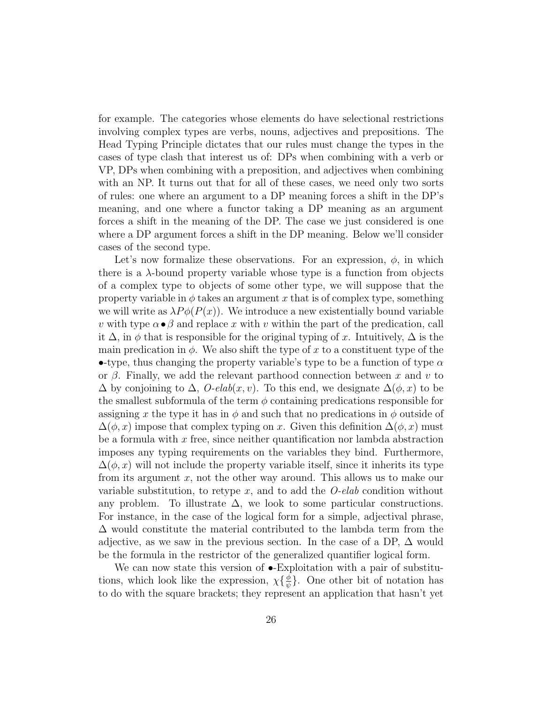for example. The categories whose elements do have selectional restrictions involving complex types are verbs, nouns, adjectives and prepositions. The Head Typing Principle dictates that our rules must change the types in the cases of type clash that interest us of: DPs when combining with a verb or VP, DPs when combining with a preposition, and adjectives when combining with an NP. It turns out that for all of these cases, we need only two sorts of rules: one where an argument to a DP meaning forces a shift in the DP's meaning, and one where a functor taking a DP meaning as an argument forces a shift in the meaning of the DP. The case we just considered is one where a DP argument forces a shift in the DP meaning. Below we'll consider cases of the second type.

Let's now formalize these observations. For an expression,  $\phi$ , in which there is a  $\lambda$ -bound property variable whose type is a function from objects of a complex type to objects of some other type, we will suppose that the property variable in  $\phi$  takes an argument x that is of complex type, something we will write as  $\lambda P\phi(P(x))$ . We introduce a new existentially bound variable v with type  $\alpha \bullet \beta$  and replace x with v within the part of the predication, call it  $\Delta$ , in  $\phi$  that is responsible for the original typing of x. Intuitively,  $\Delta$  is the main predication in  $\phi$ . We also shift the type of x to a constituent type of the •-type, thus changing the property variable's type to be a function of type  $\alpha$ or  $\beta$ . Finally, we add the relevant parthood connection between x and v to  $\Delta$  by conjoining to  $\Delta$ ,  $O\text{-}elab(x, v)$ . To this end, we designate  $\Delta(\phi, x)$  to be the smallest subformula of the term  $\phi$  containing predications responsible for assigning x the type it has in  $\phi$  and such that no predications in  $\phi$  outside of  $\Delta(\phi, x)$  impose that complex typing on x. Given this definition  $\Delta(\phi, x)$  must be a formula with  $x$  free, since neither quantification nor lambda abstraction imposes any typing requirements on the variables they bind. Furthermore,  $\Delta(\phi, x)$  will not include the property variable itself, since it inherits its type from its argument  $x$ , not the other way around. This allows us to make our variable substitution, to retype x, and to add the  $O$ -elab condition without any problem. To illustrate  $\Delta$ , we look to some particular constructions. For instance, in the case of the logical form for a simple, adjectival phrase,  $\Delta$  would constitute the material contributed to the lambda term from the adjective, as we saw in the previous section. In the case of a DP,  $\Delta$  would be the formula in the restrictor of the generalized quantifier logical form.

We can now state this version of  $\bullet$ -Exploitation with a pair of substitutions, which look like the expression,  $\chi\{\frac{\phi}{\psi}\}$  $\frac{\phi}{\psi}$ . One other bit of notation has to do with the square brackets; they represent an application that hasn't yet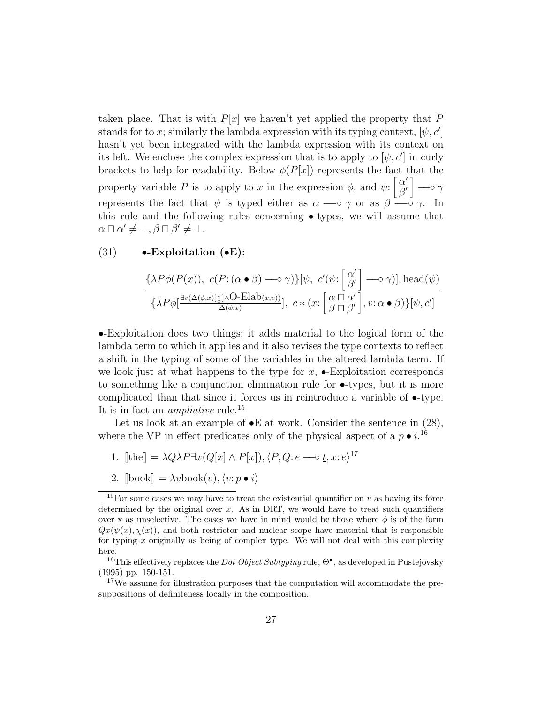taken place. That is with  $P[x]$  we haven't yet applied the property that P stands for to x; similarly the lambda expression with its typing context,  $[\psi, c']$ hasn't yet been integrated with the lambda expression with its context on its left. We enclose the complex expression that is to apply to  $[\psi, c']$  in curly brackets to help for readability. Below  $\phi(P[x])$  represents the fact that the property variable P is to apply to x in the expression  $\phi$ , and  $\psi$ :  $\begin{bmatrix} \alpha' \\ \beta' \end{bmatrix}$  $\beta'$  $]-\circ \gamma$ represents the fact that  $\psi$  is typed either as  $\alpha \longrightarrow \gamma$  or as  $\beta \longrightarrow \gamma$ . In this rule and the following rules concerning •-types, we will assume that  $\alpha \sqcap \alpha' \neq \bot, \beta \sqcap \beta' \neq \bot.$ 

### $(31)$  •-Exploitation (•E):

$$
\frac{\{\lambda P\phi(P(x)),\ c(P; (\alpha \bullet \beta) \to \gamma)\}[\psi, \ c'(\psi; \begin{bmatrix} \alpha' \\ \beta' \end{bmatrix} \to \gamma)], \text{head}(\psi)}{\{\lambda P\phi[\frac{\exists v(\Delta(\phi, x)[\frac{v}{x}]\wedge \text{O-Elab}(x, v))}{\Delta(\phi, x)}], \ c*(x: \begin{bmatrix} \alpha \sqcap \alpha' \\ \beta \sqcap \beta' \end{bmatrix}, v: \alpha \bullet \beta)\}[\psi, c']}
$$

•-Exploitation does two things; it adds material to the logical form of the lambda term to which it applies and it also revises the type contexts to reflect a shift in the typing of some of the variables in the altered lambda term. If we look just at what happens to the type for  $x$ ,  $\bullet$ -Exploitation corresponds to something like a conjunction elimination rule for  $\bullet$ -types, but it is more complicated than that since it forces us in reintroduce a variable of •-type. It is in fact an *ampliative* rule.<sup>15</sup>

Let us look at an example of  $\bullet E$  at work. Consider the sentence in (28), where the VP in effect predicates only of the physical aspect of a  $p \bullet i$ .<sup>16</sup>

- 1.  $[\![\text{the}]\!] = \lambda Q \lambda P \exists x (Q[x] \wedge P[x]), \langle P, Q: e \longrightarrow_{\mathcal{I}} x: e \rangle^{17}$
- 2.  $[\text{book}] = \lambda v \text{book}(v), \langle v : p \bullet i \rangle$

<sup>&</sup>lt;sup>15</sup>For some cases we may have to treat the existential quantifier on  $v$  as having its force determined by the original over  $x$ . As in DRT, we would have to treat such quantifiers over x as unselective. The cases we have in mind would be those where  $\phi$  is of the form  $Qx(\psi(x), \chi(x))$ , and both restrictor and nuclear scope have material that is responsible for typing  $x$  originally as being of complex type. We will not deal with this complexity here.

<sup>&</sup>lt;sup>16</sup>This effectively replaces the *Dot Object Subtyping* rule,  $\Theta^{\bullet}$ , as developed in Pustejovsky (1995) pp. 150-151.

<sup>&</sup>lt;sup>17</sup>We assume for illustration purposes that the computation will accommodate the presuppositions of definiteness locally in the composition.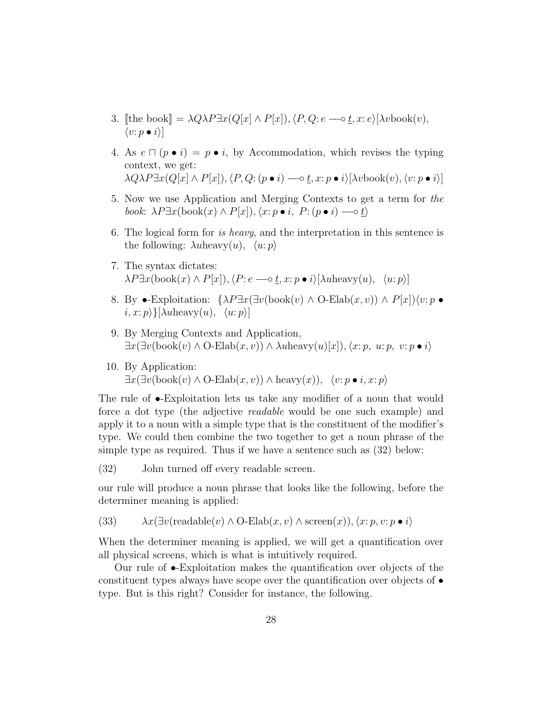- 3. [[the book] =  $\lambda Q\lambda P\exists x(Q[x] \wedge P[x]), \langle P, Q: e \longrightarrow t, x:e \rangle[\lambda v \text{book}(v),$  $\langle v: p \bullet i \rangle$
- 4. As  $e \sqcap (p \bullet i) = p \bullet i$ , by Accommodation, which revises the typing context, we get:  $\lambda Q \lambda P \exists x (Q[x] \wedge P[x]), \langle P, Q: (p \bullet i) \text{---} \circ \underline{t}, x: p \bullet i \rangle [\lambda v \text{book}(v), \langle v: p \bullet i \rangle]$
- 5. Now we use Application and Merging Contexts to get a term for the book:  $\lambda P \exists x (\text{book}(x) \land P[x]), \langle x : p \bullet i, P: (p \bullet i) \longrightarrow t \rangle$
- 6. The logical form for is heavy, and the interpretation in this sentence is the following:  $\lambda u$ heavy $(u)$ ,  $\langle u: p \rangle$
- 7. The syntax dictates:  $\lambda P \exists x (\text{book}(x) \land P[x]), \langle P: e \longrightarrow t, x: p \bullet i \rangle[\lambda u \text{heavy}(u), \langle u: p \rangle]$
- 8. By •-Exploitation:  $\{\lambda P \exists x (\exists v (book(v) \land O\text{-Elab}(x, v)) \land P[x])\}\langle v: p \bullet$  $i, x: p$ }[ $\lambda u$ heavy $(u), \langle u: p \rangle$ ]
- 9. By Merging Contexts and Application,  $\exists x(\exists v(\text{book}(v) \land \text{O-Elab}(x, v)) \land \lambda u \text{heavy}(u)[x]), \langle x: p, u: p, v: p \bullet i \rangle$
- 10. By Application:  $\exists x (\exists v (book(v) \land O\text{-Elab}(x, v)) \land heavy(x)), \ \langle v: p \bullet i, x: p \rangle$

The rule of •-Exploitation lets us take any modifier of a noun that would force a dot type (the adjective readable would be one such example) and apply it to a noun with a simple type that is the constituent of the modifier's type. We could then combine the two together to get a noun phrase of the simple type as required. Thus if we have a sentence such as (32) below:

(32) John turned off every readable screen.

our rule will produce a noun phrase that looks like the following, before the determiner meaning is applied:

(33)  $\lambda x(\exists v(\text{readable}(v) \land \text{O-Elab}(x, v) \land \text{screen}(x)), \langle x : p, v : p \bullet i \rangle$ 

When the determiner meaning is applied, we will get a quantification over all physical screens, which is what is intuitively required.

Our rule of •-Exploitation makes the quantification over objects of the constituent types always have scope over the quantification over objects of • type. But is this right? Consider for instance, the following.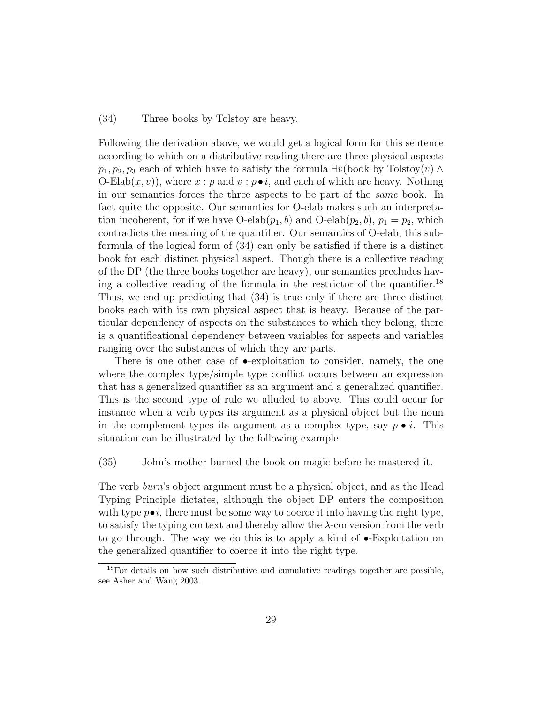#### (34) Three books by Tolstoy are heavy.

Following the derivation above, we would get a logical form for this sentence according to which on a distributive reading there are three physical aspects  $p_1, p_2, p_3$  each of which have to satisfy the formula  $\exists v(\text{book by Tolstoy}(v) \land$ O-Elab $(x, v)$ , where  $x : p$  and  $v : p \bullet i$ , and each of which are heavy. Nothing in our semantics forces the three aspects to be part of the same book. In fact quite the opposite. Our semantics for O-elab makes such an interpretation incoherent, for if we have O-elab $(p_1, b)$  and O-elab $(p_2, b)$ ,  $p_1 = p_2$ , which contradicts the meaning of the quantifier. Our semantics of O-elab, this subformula of the logical form of (34) can only be satisfied if there is a distinct book for each distinct physical aspect. Though there is a collective reading of the DP (the three books together are heavy), our semantics precludes having a collective reading of the formula in the restrictor of the quantifier.<sup>18</sup> Thus, we end up predicting that (34) is true only if there are three distinct books each with its own physical aspect that is heavy. Because of the particular dependency of aspects on the substances to which they belong, there is a quantificational dependency between variables for aspects and variables ranging over the substances of which they are parts.

There is one other case of  $\bullet$ -exploitation to consider, namely, the one where the complex type/simple type conflict occurs between an expression that has a generalized quantifier as an argument and a generalized quantifier. This is the second type of rule we alluded to above. This could occur for instance when a verb types its argument as a physical object but the noun in the complement types its argument as a complex type, say  $p \bullet i$ . This situation can be illustrated by the following example.

(35) John's mother <u>burned</u> the book on magic before he <u>mastered</u> it.

The verb burn's object argument must be a physical object, and as the Head Typing Principle dictates, although the object DP enters the composition with type  $p \bullet i$ , there must be some way to coerce it into having the right type, to satisfy the typing context and thereby allow the  $\lambda$ -conversion from the verb to go through. The way we do this is to apply a kind of •-Exploitation on the generalized quantifier to coerce it into the right type.

<sup>18</sup>For details on how such distributive and cumulative readings together are possible, see Asher and Wang 2003.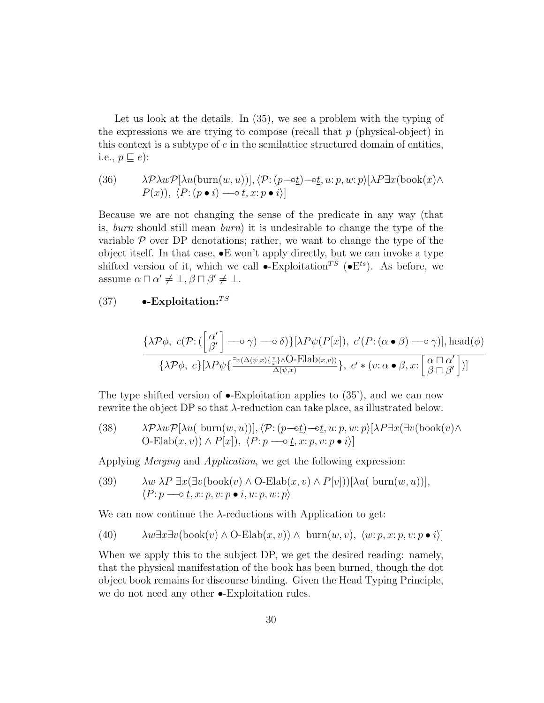Let us look at the details. In (35), we see a problem with the typing of the expressions we are trying to compose (recall that  $p$  (physical-object) in this context is a subtype of  $e$  in the semilattice structured domain of entities, i.e.,  $p \sqsubset e$ :

(36) 
$$
\lambda \mathcal{P} \lambda w \mathcal{P}[\lambda u(\text{burn}(w, u))], \langle \mathcal{P}: (p - \text{ot}) - \text{ot}, u: p, w: p \rangle [\lambda P \exists x (\text{book}(x) \land P(x)), \langle P: (p \bullet i) \rightarrow \text{ot}, x: p \bullet i \rangle]
$$

Because we are not changing the sense of the predicate in any way (that is, burn should still mean burn) it is undesirable to change the type of the variable  $\mathcal P$  over DP denotations; rather, we want to change the type of the object itself. In that case, •E won't apply directly, but we can invoke a type shifted version of it, which we call  $\bullet$ -Exploitation<sup>TS</sup> ( $\bullet$ E<sup>ts</sup>). As before, we assume  $\alpha \sqcap \alpha' \neq \bot, \beta \sqcap \beta' \neq \bot$ .

## (37) •-Exploitation: $^{TS}$

$$
\frac{\{\lambda \mathcal{P} \phi, \ c(\mathcal{P}: (\begin{bmatrix} \alpha' \\ \beta' \end{bmatrix} \text{---} \circ \gamma) \text{---} \circ \delta)\}[\lambda P \psi(P[x]), \ c'(P: (\alpha \bullet \beta) \text{---} \circ \gamma)], \text{head}(\phi)}{\{\lambda \mathcal{P} \phi, \ c\}[\lambda P \psi \{\frac{\exists v(\Delta(\psi, x) \{\frac{x}{x}\}\wedge \text{O-Elab}(x, v))}{\Delta(\psi, x)}\}, \ c' * (v: \alpha \bullet \beta, x: \begin{bmatrix} \alpha \sqcap \alpha' \\ \beta \sqcap \beta' \end{bmatrix})]}
$$

The type shifted version of  $\bullet$ -Exploitation applies to  $(35')$ , and we can now rewrite the object DP so that λ-reduction can take place, as illustrated below.

(38) 
$$
\lambda \mathcal{P} \lambda w \mathcal{P}[\lambda u(\text{ burn}(w, u))], \langle \mathcal{P}: (p-\circ \underline{t})-\circ \underline{t}, u: p, w: p \rangle [\lambda P \exists x (\exists v (\text{book}(v) \land \text{O-Elab}(x, v)) \land P[x]), \langle P: p \longrightarrow \underline{t}, x: p, v: p \bullet i \rangle]
$$

Applying Merging and Application, we get the following expression:

(39) 
$$
\lambda w \lambda P \exists x (\exists v (book(v) \land O\text{-Elab}(x, v) \land P[v])) [\lambda u (\text{ burn}(w, u))],
$$

$$
\langle P: p \longrightarrow \underline{t}, x: p, v: p \bullet i, u: p, w: p \rangle
$$

We can now continue the  $\lambda$ -reductions with Application to get:

(40) 
$$
\lambda w \exists x \exists v (\text{book}(v) \land \text{O-Elab}(x, v)) \land \text{burn}(w, v), \langle w: p, x: p, v: p \bullet i \rangle
$$

When we apply this to the subject DP, we get the desired reading: namely, that the physical manifestation of the book has been burned, though the dot object book remains for discourse binding. Given the Head Typing Principle, we do not need any other  $\bullet$ -Exploitation rules.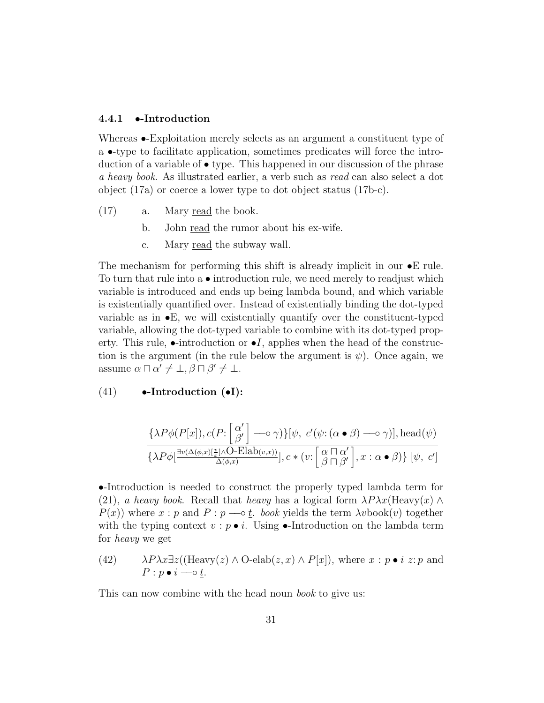#### 4.4.1 •-Introduction

Whereas •-Exploitation merely selects as an argument a constituent type of a •-type to facilitate application, sometimes predicates will force the introduction of a variable of  $\bullet$  type. This happened in our discussion of the phrase a heavy book. As illustrated earlier, a verb such as read can also select a dot object (17a) or coerce a lower type to dot object status (17b-c).

- (17) a. Mary read the book.
	- b. John read the rumor about his ex-wife.
	- c. Mary read the subway wall.

The mechanism for performing this shift is already implicit in our •E rule. To turn that rule into a  $\bullet$  introduction rule, we need merely to readjust which variable is introduced and ends up being lambda bound, and which variable is existentially quantified over. Instead of existentially binding the dot-typed variable as in •E, we will existentially quantify over the constituent-typed variable, allowing the dot-typed variable to combine with its dot-typed property. This rule,  $\bullet$ -introduction or  $\bullet I$ , applies when the head of the construction is the argument (in the rule below the argument is  $\psi$ ). Once again, we assume  $\alpha \sqcap \alpha' \neq \bot, \beta \sqcap \beta' \neq \bot$ .

### $(41)$  •-Introduction  $(eI)$ :

$$
\frac{\{\lambda P\phi(P[x]),c(P;\begin{bmatrix} \alpha'\\ \beta' \end{bmatrix} \longrightarrow \gamma)\}\psi,\ c'(\psi; (\alpha \bullet \beta) \longrightarrow \gamma)],\text{head}(\psi)}{\{\lambda P\phi[\frac{\exists v(\Delta(\phi,x)[\frac{x}{x}]\wedge \text{O-Elab}(v,x))}{\Delta(\phi,x)}],c*(v:\begin{bmatrix} \alpha \sqcap \alpha'\\ \beta \sqcap \beta' \end{bmatrix},x:\alpha \bullet \beta)\}\ [\psi,\ c']}
$$

•-Introduction is needed to construct the properly typed lambda term for (21), a heavy book. Recall that heavy has a logical form  $\lambda P\lambda x$  (Heavy(x)  $\wedge$  $P(x)$ ) where  $x : p$  and  $P : p \longrightarrow t$ . book yields the term  $\lambda v \text{book}(v)$  together with the typing context  $v : p \bullet i$ . Using  $\bullet$ -Introduction on the lambda term for heavy we get

(42) 
$$
\lambda P \lambda x \exists z ((\text{Heavy}(z) \land \text{O-elab}(z, x) \land P[x]), \text{ where } x : p \bullet i \text{ } z : p \text{ and } P : p \bullet i \text{ } \longrightarrow \underline{t}.
$$

This can now combine with the head noun *book* to give us: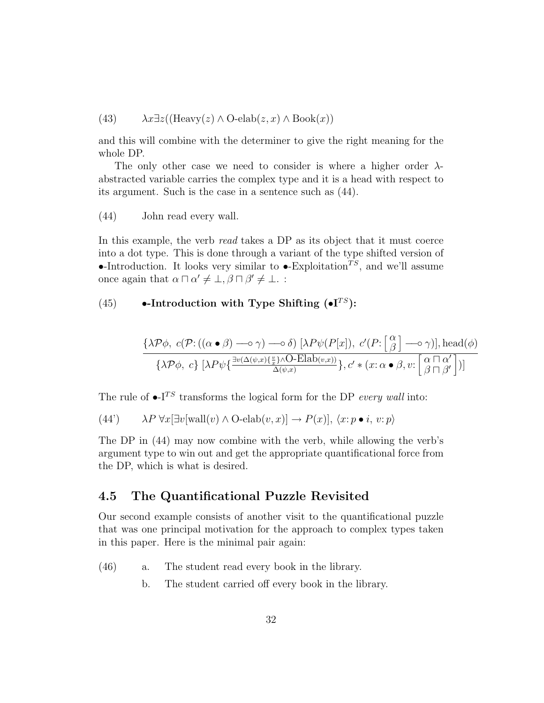(43)  $\lambda x \exists z ((\text{Heavy}(z) \land \text{O-elab}(z, x) \land \text{Book}(x)))$ 

and this will combine with the determiner to give the right meaning for the whole DP.

The only other case we need to consider is where a higher order  $\lambda$ abstracted variable carries the complex type and it is a head with respect to its argument. Such is the case in a sentence such as (44).

(44) John read every wall.

In this example, the verb *read* takes a DP as its object that it must coerce into a dot type. This is done through a variant of the type shifted version of •-Introduction. It looks very similar to •-Exploitation<sup>TS</sup>, and we'll assume once again that  $\alpha \sqcap \alpha' \neq \bot, \beta \sqcap \beta' \neq \bot$ .:

## (45) •-Introduction with Type Shifting  $\left(\bullet \mathbf{I}^{TS}\right)$ :

$$
\frac{\{\lambda \mathcal{P} \phi, c(\mathcal{P}: ((\alpha \bullet \beta) \multimap \gamma) \multimap \delta) [\lambda P \psi(P[x]), c'(P: [\frac{\alpha}{\beta}] \multimap \gamma)], head(\phi)}{\{\lambda \mathcal{P} \phi, c\} [\lambda P \psi\{\frac{\exists v(\Delta(\psi, x) \{\frac{v}{x}\}\wedge \text{O-Elab}(v, x))}{\Delta(\psi, x)}\}, c' * (x: \alpha \bullet \beta, v: [\frac{\alpha \sqcap \alpha'}{\beta \sqcap \beta'}])]}
$$

The rule of  $\bullet$ -I<sup>TS</sup> transforms the logical form for the DP *every wall* into:

(44') 
$$
\lambda P \forall x [\exists v [\text{wall}(v) \land \text{O-elab}(v, x)] \rightarrow P(x)], \langle x : p \bullet i, v : p \rangle
$$

The DP in (44) may now combine with the verb, while allowing the verb's argument type to win out and get the appropriate quantificational force from the DP, which is what is desired.

### 4.5 The Quantificational Puzzle Revisited

Our second example consists of another visit to the quantificational puzzle that was one principal motivation for the approach to complex types taken in this paper. Here is the minimal pair again:

- (46) a. The student read every book in the library.
	- b. The student carried off every book in the library.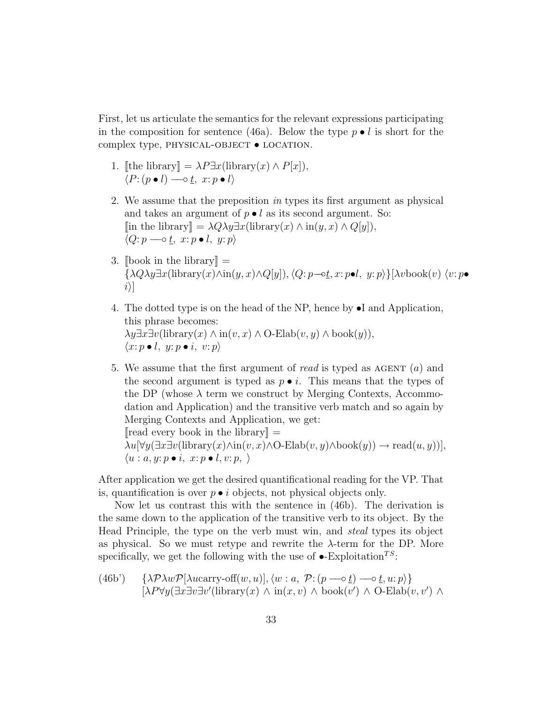First, let us articulate the semantics for the relevant expressions participating in the composition for sentence (46a). Below the type  $p \bullet l$  is short for the complex type, PHYSICAL-OBJECT • LOCATION.

1. [[the library] =  $\lambda P \exists x$ (library $(x) \wedge P[x]$ ),  $\langle P: (p \bullet l) \longrightarrow \underline{t}, x: p \bullet l \rangle$ 

 $\langle u : a, y : p \bullet i, x : p \bullet l, v : p, \rangle$ 

- 2. We assume that the preposition in types its first argument as physical and takes an argument of  $p \bullet l$  as its second argument. So: [[in the library]] = λQλy∃x(library(x) ∧ in(y, x) ∧ Q[y]),  $\langle Q: p \longrightarrow_{t} t, x: p \bullet l, y: p \rangle$
- 3. [book in the library]  $=$  ${\lambda Q\lambda y \exists x (\text{library}(x) \land \text{in}(y, x) \land Q[y]), \langle Q: p-\sigma \underline{t}, x: p\bullet l, y: p \rangle }$ [ $\lambda v \text{book}(v) \langle v: p\bullet v \rangle$  $i$ ]
- 4. The dotted type is on the head of the NP, hence by •I and Application, this phrase becomes:  $\lambda y \exists x \exists v$ (library $(x) \wedge \text{in}(v, x) \wedge \text{O-Elab}(v, y) \wedge \text{book}(y)$ ),  $\langle x:p\bullet l, y:p\bullet i, v:p\rangle$
- 5. We assume that the first argument of *read* is typed as  $AGENT(a)$  and the second argument is typed as  $p \bullet i$ . This means that the types of the DP (whose  $\lambda$  term we construct by Merging Contexts, Accommodation and Application) and the transitive verb match and so again by Merging Contexts and Application, we get:  $\lVert \text{read every book in the library} \rVert =$  $\lambda u[\forall y(\exists x \exists v(\text{library}(x) \land \text{in}(v, x) \land \text{O-Elab}(v, y) \land \text{book}(y)) \rightarrow \text{read}(u, y))],$

After application we get the desired quantificational reading for the VP. That is, quantification is over  $p \bullet i$  objects, not physical objects only.

Now let us contrast this with the sentence in (46b). The derivation is the same down to the application of the transitive verb to its object. By the Head Principle, the type on the verb must win, and steal types its object as physical. So we must retype and rewrite the  $\lambda$ -term for the DP. More specifically, we get the following with the use of  $\bullet$ -Exploitation<sup>TS</sup>:

(46b') 
$$
\{\lambda \mathcal{P} \lambda w \mathcal{P}[\lambda u \text{carry-off}(w, u)], \langle w : a, \mathcal{P} : (p \longrightarrow \underline{t}) \longrightarrow \underline{t}, u : p \rangle\}
$$
  
 $[\lambda P \forall y (\exists x \exists v \exists v' (library(x) \land in(x, v) \land book(v') \land O-Elab(v, v') \land p \land c))\}$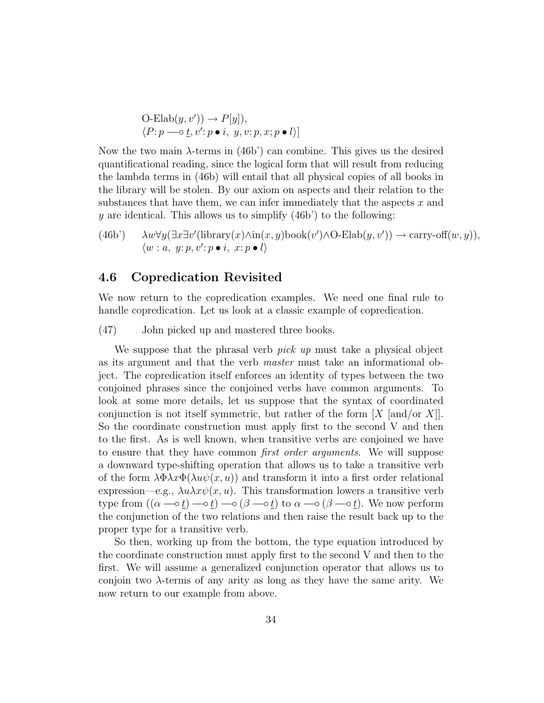O-Elab(y, v')) 
$$
\rightarrow
$$
 P[y]),  
\n $\langle P: p \longrightarrow \underline{t}, v': p \bullet i, y, v: p, x; p \bullet l \rangle$ 

Now the two main  $\lambda$ -terms in (46b<sup>'</sup>) can combine. This gives us the desired quantificational reading, since the logical form that will result from reducing the lambda terms in (46b) will entail that all physical copies of all books in the library will be stolen. By our axiom on aspects and their relation to the substances that have them, we can infer immediately that the aspects  $x$  and y are identical. This allows us to simplify  $(46b')$  to the following:

(46b') 
$$
\lambda w \forall y (\exists x \exists v' (\text{library}(x) \land \text{in}(x, y) \text{book}(v') \land O\text{-Elab}(y, v')) \rightarrow \text{carry-off}(w, y)),
$$
  
 $\langle w : a, y : p, v' : p \bullet i, x : p \bullet l \rangle$ 

## 4.6 Copredication Revisited

We now return to the copredication examples. We need one final rule to handle copredication. Let us look at a classic example of copredication.

(47) John picked up and mastered three books.

We suppose that the phrasal verb *pick up* must take a physical object as its argument and that the verb master must take an informational object. The copredication itself enforces an identity of types between the two conjoined phrases since the conjoined verbs have common arguments. To look at some more details, let us suppose that the syntax of coordinated conjunction is not itself symmetric, but rather of the form  $[X \text{ [and/or } X]$ . So the coordinate construction must apply first to the second V and then to the first. As is well known, when transitive verbs are conjoined we have to ensure that they have common *first order arguments*. We will suppose a downward type-shifting operation that allows us to take a transitive verb of the form  $\lambda \Phi \lambda x \Phi(\lambda u \psi(x, u))$  and transform it into a first order relational expression—e.g.,  $\lambda u \lambda x \psi(x, u)$ . This transformation lowers a transitive verb type from  $((\alpha \rightarrow \alpha \underline{t}) \rightarrow \alpha \underline{t}) \rightarrow (\beta \rightarrow \alpha \underline{t})$  to  $\alpha \rightarrow (\beta \rightarrow \alpha \underline{t})$ . We now perform the conjunction of the two relations and then raise the result back up to the proper type for a transitive verb.

So then, working up from the bottom, the type equation introduced by the coordinate construction must apply first to the second V and then to the first. We will assume a generalized conjunction operator that allows us to conjoin two  $\lambda$ -terms of any arity as long as they have the same arity. We now return to our example from above.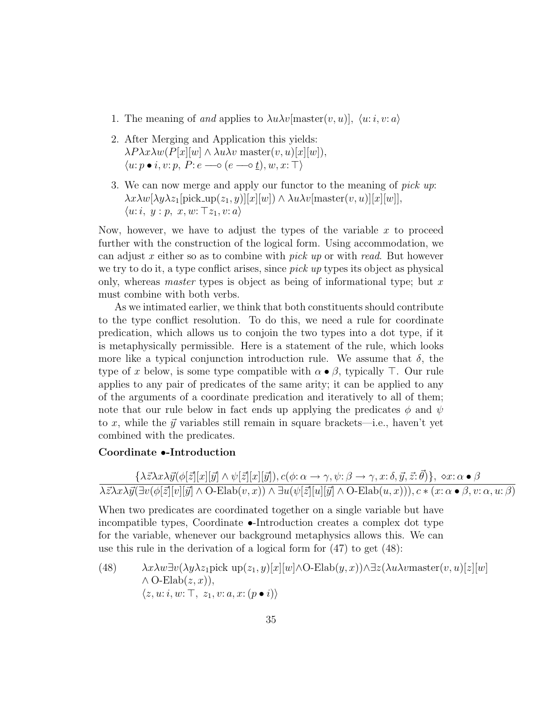- 1. The meaning of and applies to  $\lambda u \lambda v$  master  $(v, u)$ ,  $\langle u: i, v: a \rangle$
- 2. After Merging and Application this yields:  $\lambda P \lambda x \lambda w (P[x][w] \wedge \lambda u \lambda v \text{ master}(v, u)[x][w]),$  $\langle u: p \bullet i, v: p, P: e \text{---} \circ (e \text{---} \circ \underline{t}), w, x: \top \rangle$
- 3. We can now merge and apply our functor to the meaning of pick up:  $\lambda x \lambda w[\lambda y \lambda z_1[\text{pick\_up}(z_1, y)][x][w]) \wedge \lambda u \lambda v[\text{master}(v, u)][x][w]],$  $\langle u:i, y:p, x, w: \top z_1, v:a \rangle$

Now, however, we have to adjust the types of the variable  $x$  to proceed further with the construction of the logical form. Using accommodation, we can adjust x either so as to combine with *pick up* or with *read*. But however we try to do it, a type conflict arises, since *pick up* types its object as physical only, whereas *master* types is object as being of informational type; but  $x$ must combine with both verbs.

As we intimated earlier, we think that both constituents should contribute to the type conflict resolution. To do this, we need a rule for coordinate predication, which allows us to conjoin the two types into a dot type, if it is metaphysically permissible. Here is a statement of the rule, which looks more like a typical conjunction introduction rule. We assume that  $\delta$ , the type of x below, is some type compatible with  $\alpha \bullet \beta$ , typically  $\top$ . Our rule applies to any pair of predicates of the same arity; it can be applied to any of the arguments of a coordinate predication and iteratively to all of them; note that our rule below in fact ends up applying the predicates  $\phi$  and  $\psi$ to x, while the  $\vec{y}$  variables still remain in square brackets—i.e., haven't yet combined with the predicates.

### Coordinate •-Introduction

$$
\frac{\{\lambda \vec{z} \lambda x \lambda \vec{y}(\phi[\vec{z}][x][\vec{y}] \wedge \psi[\vec{z}][x][\vec{y}]), c(\phi: \alpha \to \gamma, \psi: \beta \to \gamma, x: \delta, \vec{y}, \vec{z}: \vec{\theta})\}, \ \varphi x: \alpha \bullet \beta}{\lambda \vec{z} \lambda x \lambda \vec{y}(\exists v(\phi[\vec{z}][v][\vec{y}] \wedge \text{O-Elab}(v, x)) \wedge \exists u(\psi[\vec{z}][u][\vec{y}] \wedge \text{O-Elab}(u, x))), c * (x: \alpha \bullet \beta, v: \alpha, u: \beta)\}
$$

When two predicates are coordinated together on a single variable but have incompatible types, Coordinate •-Introduction creates a complex dot type for the variable, whenever our background metaphysics allows this. We can use this rule in the derivation of a logical form for (47) to get (48):

(48) 
$$
\lambda x \lambda w \exists v (\lambda y \lambda z_1 \text{pick up}(z_1, y)[x][w] \land O\text{-Elab}(y, x)) \land \exists z (\lambda u \lambda v \text{master}(v, u)[z][w] \land O\text{-Elab}(z, x)),
$$

$$
\langle z, u: i, w: \top, z_1, v: a, x: (p \cdot i) \rangle
$$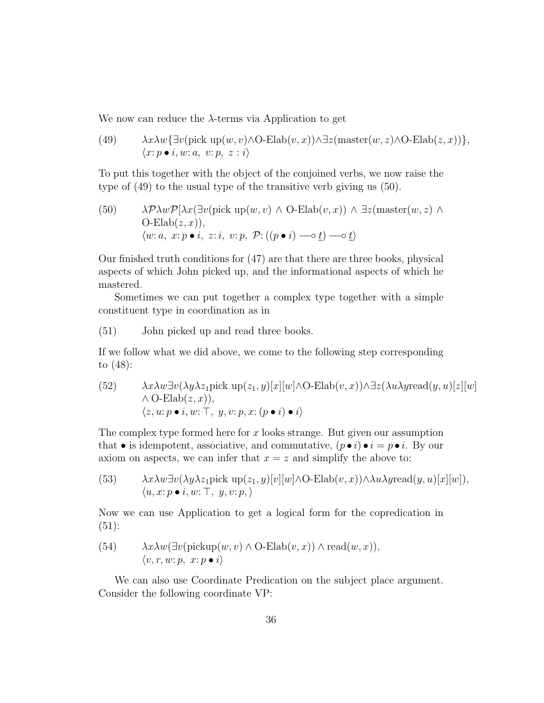We now can reduce the  $\lambda$ -terms via Application to get

(49) 
$$
\lambda x \lambda w \{ \exists v (pick \ up(w, v) \land O-Elab(v, x)) \land \exists z (master(w, z) \land O-Elab(z, x)) \},
$$

$$
\langle x : p \bullet i, w : a, v : p, z : i \rangle
$$

To put this together with the object of the conjoined verbs, we now raise the type of (49) to the usual type of the transitive verb giving us (50).

(50) 
$$
\lambda \mathcal{P} \lambda w \mathcal{P} [\lambda x (\exists v (\text{pick up}(w, v) \land \text{O-Elab}(v, x)) \land \exists z (\text{master}(w, z) \land \text{O-Elab}(z, x)),
$$

$$
\langle w: a, x: p \bullet i, z: i, v: p, \mathcal{P}: ((p \bullet i) \text{---} \circ \underline{t}) \text{---} \circ \underline{t} \rangle
$$

Our finished truth conditions for (47) are that there are three books, physical aspects of which John picked up, and the informational aspects of which he mastered.

Sometimes we can put together a complex type together with a simple constituent type in coordination as in

(51) John picked up and read three books.

If we follow what we did above, we come to the following step corresponding to (48):

(52)  $\lambda x \lambda w \exists v (\lambda y \lambda z_1 \text{pick up}(z_1, y)[x][w] \wedge \text{O-Elab}(v, x)) \wedge \exists z (\lambda u \lambda y \text{read}(y, u)[z][w])$  $\wedge$  O-Elab $(z, x)$ ,  $\langle z, u: p \bullet i, w: \top, y, v: p, x: (p \bullet i) \bullet i \rangle$ 

The complex type formed here for  $x$  looks strange. But given our assumption that • is idempotent, associative, and commutative,  $(p \cdot i) \cdot i = p \cdot i$ . By our axiom on aspects, we can infer that  $x = z$  and simplify the above to:

(53) 
$$
\lambda x \lambda w \exists v (\lambda y \lambda z_1 \text{pick up}(z_1, y)[v][w] \land O\text{-Elab}(v, x)) \land \lambda u \lambda y \text{read}(y, u)[x][w]),
$$

$$
\langle u, x: p \bullet i, w: \top, y, v: p, \rangle
$$

Now we can use Application to get a logical form for the copredication in (51):

(54) 
$$
\lambda x \lambda w(\exists v(\text{pickup}(w, v) \land \text{O-Elab}(v, x)) \land \text{read}(w, x)),
$$

$$
\langle v, r, w: p, x: p \bullet i \rangle
$$

We can also use Coordinate Predication on the subject place argument. Consider the following coordinate VP: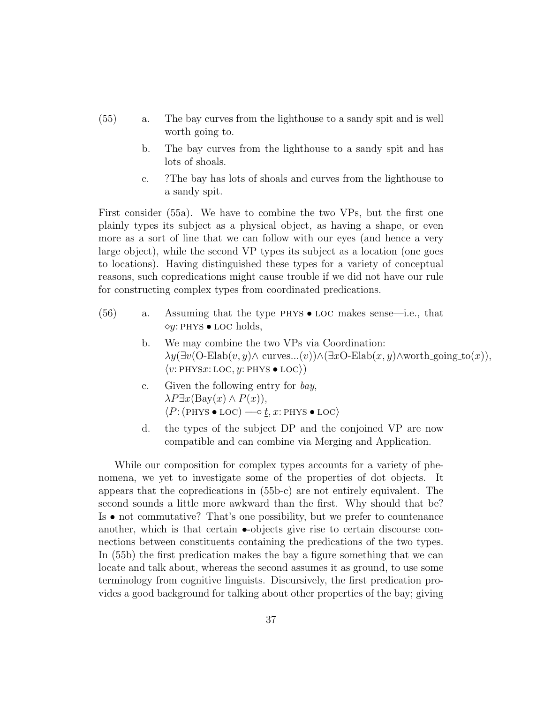- (55) a. The bay curves from the lighthouse to a sandy spit and is well worth going to.
	- b. The bay curves from the lighthouse to a sandy spit and has lots of shoals.
	- c. ?The bay has lots of shoals and curves from the lighthouse to a sandy spit.

First consider (55a). We have to combine the two VPs, but the first one plainly types its subject as a physical object, as having a shape, or even more as a sort of line that we can follow with our eyes (and hence a very large object), while the second VP types its subject as a location (one goes to locations). Having distinguished these types for a variety of conceptual reasons, such copredications might cause trouble if we did not have our rule for constructing complex types from coordinated predications.

- (56) a. Assuming that the type phys loc makes sense—i.e., that  $\Diamond y$ : PHYS  $\bullet$  LOC holds,
	- b. We may combine the two VPs via Coordination:  $\lambda y(\exists v(\text{O-Elab}(v, y) \wedge \text{curves}...(v)) \wedge (\exists x \text{O-Elab}(x, y) \wedge \text{worth\_going\_to}(x)),$  $\langle v: \text{PHYS}x: \text{LOC}, y: \text{PHYS} \bullet \text{LOC} \rangle$
	- c. Given the following entry for bay,  $\lambda P \exists x (\text{Bay}(x) \wedge P(x)),$  $\langle P:$  (PHYS • LOC) — $\circ t, x$ : PHYS • LOC $\rangle$
	- d. the types of the subject DP and the conjoined VP are now compatible and can combine via Merging and Application.

While our composition for complex types accounts for a variety of phenomena, we yet to investigate some of the properties of dot objects. It appears that the copredications in (55b-c) are not entirely equivalent. The second sounds a little more awkward than the first. Why should that be? Is • not commutative? That's one possibility, but we prefer to countenance another, which is that certain •-objects give rise to certain discourse connections between constituents containing the predications of the two types. In (55b) the first predication makes the bay a figure something that we can locate and talk about, whereas the second assumes it as ground, to use some terminology from cognitive linguists. Discursively, the first predication provides a good background for talking about other properties of the bay; giving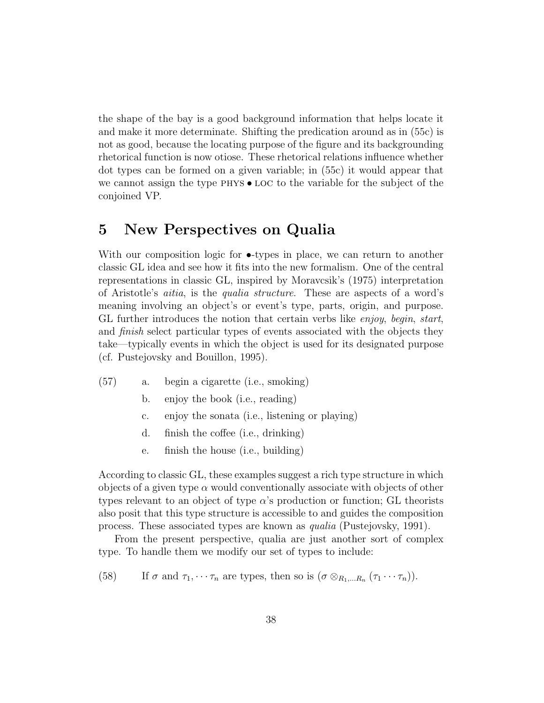the shape of the bay is a good background information that helps locate it and make it more determinate. Shifting the predication around as in (55c) is not as good, because the locating purpose of the figure and its backgrounding rhetorical function is now otiose. These rhetorical relations influence whether dot types can be formed on a given variable; in (55c) it would appear that we cannot assign the type phys • loc to the variable for the subject of the conjoined VP.

# 5 New Perspectives on Qualia

With our composition logic for  $\bullet$ -types in place, we can return to another classic GL idea and see how it fits into the new formalism. One of the central representations in classic GL, inspired by Moravcsik's (1975) interpretation of Aristotle's aitia, is the qualia structure. These are aspects of a word's meaning involving an object's or event's type, parts, origin, and purpose. GL further introduces the notion that certain verbs like enjoy, begin, start, and finish select particular types of events associated with the objects they take—typically events in which the object is used for its designated purpose (cf. Pustejovsky and Bouillon, 1995).

- (57) a. begin a cigarette (i.e., smoking)
	- b. enjoy the book (i.e., reading)
	- c. enjoy the sonata (i.e., listening or playing)
	- d. finish the coffee (i.e., drinking)
	- e. finish the house (i.e., building)

According to classic GL, these examples suggest a rich type structure in which objects of a given type  $\alpha$  would conventionally associate with objects of other types relevant to an object of type  $\alpha$ 's production or function; GL theorists also posit that this type structure is accessible to and guides the composition process. These associated types are known as qualia (Pustejovsky, 1991).

From the present perspective, qualia are just another sort of complex type. To handle them we modify our set of types to include:

(58) If  $\sigma$  and  $\tau_1, \dots \tau_n$  are types, then so is  $(\sigma \otimes_{R_1,\dots,R_n} (\tau_1 \cdots \tau_n)).$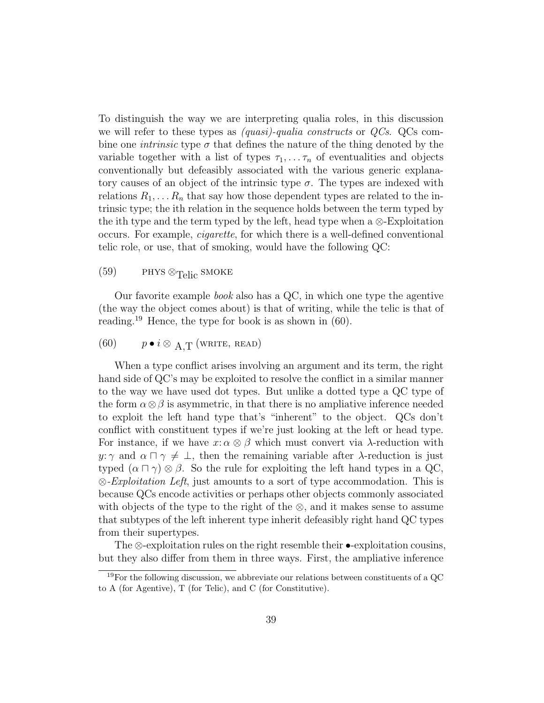To distinguish the way we are interpreting qualia roles, in this discussion we will refer to these types as  $(quasi)$ -qualia constructs or  $QCs$ . QCs combine one *intrinsic* type  $\sigma$  that defines the nature of the thing denoted by the variable together with a list of types  $\tau_1, \ldots, \tau_n$  of eventualities and objects conventionally but defeasibly associated with the various generic explanatory causes of an object of the intrinsic type  $\sigma$ . The types are indexed with relations  $R_1, \ldots, R_n$  that say how those dependent types are related to the intrinsic type; the ith relation in the sequence holds between the term typed by the ith type and the term typed by the left, head type when a ⊗-Exploitation occurs. For example, cigarette, for which there is a well-defined conventional telic role, or use, that of smoking, would have the following QC:

#### $(59)$  PHYS  $\otimes_{\text{Telic}}$  SMOKE

Our favorite example book also has a QC, in which one type the agentive (the way the object comes about) is that of writing, while the telic is that of reading.<sup>19</sup> Hence, the type for book is as shown in (60).

## (60)  $p \bullet i \otimes A \uparrow (WRITE, READ)$

When a type conflict arises involving an argument and its term, the right hand side of QC's may be exploited to resolve the conflict in a similar manner to the way we have used dot types. But unlike a dotted type a QC type of the form  $\alpha \otimes \beta$  is asymmetric, in that there is no ampliative inference needed to exploit the left hand type that's "inherent" to the object. QCs don't conflict with constituent types if we're just looking at the left or head type. For instance, if we have  $x: \alpha \otimes \beta$  which must convert via  $\lambda$ -reduction with y:  $\gamma$  and  $\alpha \sqcap \gamma \neq \bot$ , then the remaining variable after  $\lambda$ -reduction is just typed  $(\alpha \sqcap \gamma) \otimes \beta$ . So the rule for exploiting the left hand types in a QC,  $\otimes$ -Exploitation Left, just amounts to a sort of type accommodation. This is because QCs encode activities or perhaps other objects commonly associated with objects of the type to the right of the  $\otimes$ , and it makes sense to assume that subtypes of the left inherent type inherit defeasibly right hand QC types from their supertypes.

The ⊗-exploitation rules on the right resemble their  $\bullet$ -exploitation cousins, but they also differ from them in three ways. First, the ampliative inference

 $^{19}{\rm For}$  the following discussion, we abbreviate our relations between constituents of a QC to A (for Agentive), T (for Telic), and C (for Constitutive).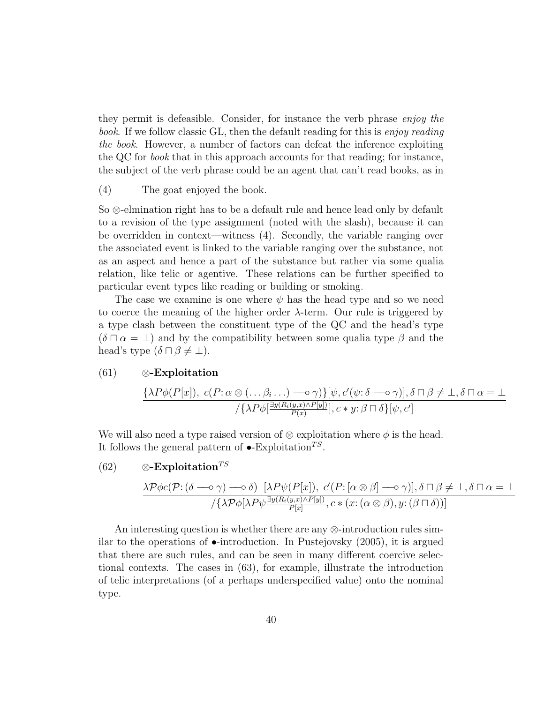they permit is defeasible. Consider, for instance the verb phrase enjoy the book. If we follow classic GL, then the default reading for this is enjoy reading the book. However, a number of factors can defeat the inference exploiting the QC for book that in this approach accounts for that reading; for instance, the subject of the verb phrase could be an agent that can't read books, as in

(4) The goat enjoyed the book.

So ⊗-elmination right has to be a default rule and hence lead only by default to a revision of the type assignment (noted with the slash), because it can be overridden in context—witness (4). Secondly, the variable ranging over the associated event is linked to the variable ranging over the substance, not as an aspect and hence a part of the substance but rather via some qualia relation, like telic or agentive. These relations can be further specified to particular event types like reading or building or smoking.

The case we examine is one where  $\psi$  has the head type and so we need to coerce the meaning of the higher order  $\lambda$ -term. Our rule is triggered by a type clash between the constituent type of the QC and the head's type  $(\delta \cap \alpha = \bot)$  and by the compatibility between some qualia type  $\beta$  and the head's type  $(\delta \cap \beta \neq \bot)$ .

#### $(61) \qquad \otimes$ -Exploitation

$$
\frac{\{\lambda P\phi(P[x]),\ c(P:\alpha\otimes(\ldots\beta_i\ldots)\cdots\circ\gamma)\}\psi,c'(\psi;\delta\cdots\circ\gamma)],\delta\sqcap\beta\neq\bot,\delta\sqcap\alpha=\bot}{\langle\{\lambda P\phi[\frac{\exists y(R_i(y,x)\wedge P[y])}{P(x)}],c*y;\beta\sqcap\delta\}[\psi,c']}
$$

We will also need a type raised version of  $\otimes$  exploitation where  $\phi$  is the head. It follows the general pattern of  $\bullet$ -Exploitation<sup>TS</sup>.

(62) ⊗-Exploitation<sup>TS</sup>

$$
\frac{\lambda \mathcal{P} \phi c(\mathcal{P}: (\delta \longrightarrow \gamma) \longrightarrow \delta) \ [\lambda P \psi(P[x]), \ c'(P: [\alpha \otimes \beta] \longrightarrow \gamma)], \delta \sqcap \beta \neq \bot, \delta \sqcap \alpha = \bot}{\langle {\{\lambda \mathcal{P} \phi[\lambda P \psi \frac{\exists y(R_i(y,x) \land P[y])}{P[x]}, c * (x: (\alpha \otimes \beta), y: (\beta \sqcap \delta))}\rangle}}
$$

An interesting question is whether there are any ⊗-introduction rules similar to the operations of  $\bullet$ -introduction. In Pustejovsky (2005), it is argued that there are such rules, and can be seen in many different coercive selectional contexts. The cases in (63), for example, illustrate the introduction of telic interpretations (of a perhaps underspecified value) onto the nominal type.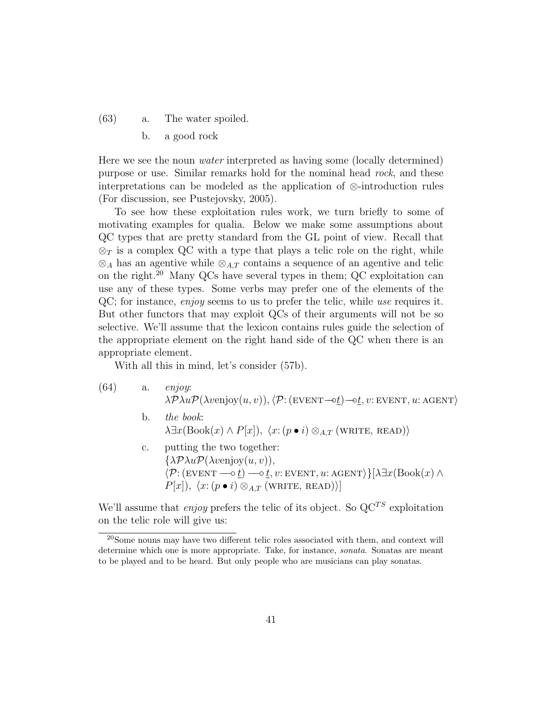(63) a. The water spoiled.

b. a good rock

Here we see the noun water interpreted as having some (locally determined) purpose or use. Similar remarks hold for the nominal head rock, and these interpretations can be modeled as the application of ⊗-introduction rules (For discussion, see Pustejovsky, 2005).

To see how these exploitation rules work, we turn briefly to some of motivating examples for qualia. Below we make some assumptions about QC types that are pretty standard from the GL point of view. Recall that  $\otimes_T$  is a complex QC with a type that plays a telic role on the right, while  $\otimes_A$  has an agentive while  $\otimes_{A,T}$  contains a sequence of an agentive and telic on the right.<sup>20</sup> Many QCs have several types in them; QC exploitation can use any of these types. Some verbs may prefer one of the elements of the QC; for instance, enjoy seems to us to prefer the telic, while use requires it. But other functors that may exploit QCs of their arguments will not be so selective. We'll assume that the lexicon contains rules guide the selection of the appropriate element on the right hand side of the QC when there is an appropriate element.

With all this in mind, let's consider (57b).

(64) a. enjoy:  $\lambda \mathcal{P} \lambda u \mathcal{P}(\lambda v \text{enjoy}(u, v)), \langle \mathcal{P}: (\text{EVENT} - \circ t) - \circ t, v: \text{EVENT}, u: \text{AGENT}\rangle$ b. the book:  $\lambda \exists x (\text{Book}(x) \land P[x]), \ \langle x: (p \bullet i) \otimes_{A,T} (\text{WRITE}, \text{READ}) \rangle$ c. putting the two together:  $\{\lambda \mathcal{P}\lambda u \mathcal{P}(\lambda v \text{eniov}(u, v))\}$ ,  $\langle \mathcal{P}: (\text{EVENT} \longrightarrow t) \longrightarrow t, v: \text{EVENT}, u: \text{AGENT} \rangle \} [\lambda \exists x (\text{Book}(x) \land$  $P[x]$ ,  $\langle x: (p \bullet i) \otimes_{A,T} (WRITE, READ)\rangle]$ We'll assume that *enjoy* prefers the telic of its object. So  $QC^{TS}$  exploitation

on the telic role will give us:

<sup>&</sup>lt;sup>20</sup>Some nouns may have two different telic roles associated with them, and context will determine which one is more appropriate. Take, for instance, sonata. Sonatas are meant to be played and to be heard. But only people who are musicians can play sonatas.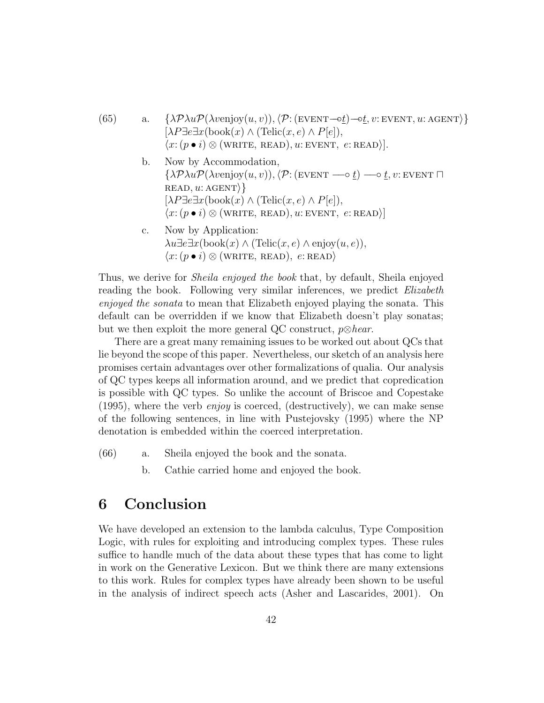(65) a. 
$$
\{\lambda \mathcal{P} \lambda u \mathcal{P} (\lambda v \text{enjoy}(u, v)), \langle \mathcal{P} : (\text{EVENT} - \circ \underline{t}) - \circ \underline{t}, v : \text{EVENT}, u : \text{AGENT} \rangle\}
$$
  
\n $[\lambda P \exists e \exists x (\text{book}(x) \land (\text{Telic}(x, e) \land P[e]),$   
\n $\langle x : (p \bullet i) \otimes (\text{WRITE}, \text{READ}), u : \text{EVENT}, e : \text{READ} \rangle].$ 

- b. Now by Accommodation,  $\{\lambda \mathcal{P}\lambda u \mathcal{P}(\lambda v \text{enjoy}(u, v)), \langle \mathcal{P}\text{: (EVENT } \text{---} \circ \underline{t}) \text{ --- } \underline{t}, v \text{: EVENT } \sqcap$  $READ, u: AGENT$ }  $[\lambda P \exists e \exists x (\text{book}(x) \land (\text{Telic}(x, e) \land P[e]),$  $\langle x: (p \bullet i) \otimes (WRITE, READ), u: EVENT, e: READ \rangle$
- c. Now by Application:  $\lambda u \exists e \exists x (book(x) \land (Telic(x, e) \land enjoy(u, e)),$  $\langle x: (p \bullet i) \otimes (WRITE, READ), e: READ \rangle$

Thus, we derive for Sheila enjoyed the book that, by default, Sheila enjoyed reading the book. Following very similar inferences, we predict *Elizabeth* enjoyed the sonata to mean that Elizabeth enjoyed playing the sonata. This default can be overridden if we know that Elizabeth doesn't play sonatas; but we then exploit the more general QC construct,  $p \otimes hear$ .

There are a great many remaining issues to be worked out about QCs that lie beyond the scope of this paper. Nevertheless, our sketch of an analysis here promises certain advantages over other formalizations of qualia. Our analysis of QC types keeps all information around, and we predict that copredication is possible with QC types. So unlike the account of Briscoe and Copestake  $(1995)$ , where the verb *enjoy* is coerced, (destructively), we can make sense of the following sentences, in line with Pustejovsky (1995) where the NP denotation is embedded within the coerced interpretation.

(66) a. Sheila enjoyed the book and the sonata.

b. Cathie carried home and enjoyed the book.

# 6 Conclusion

We have developed an extension to the lambda calculus, Type Composition Logic, with rules for exploiting and introducing complex types. These rules suffice to handle much of the data about these types that has come to light in work on the Generative Lexicon. But we think there are many extensions to this work. Rules for complex types have already been shown to be useful in the analysis of indirect speech acts (Asher and Lascarides, 2001). On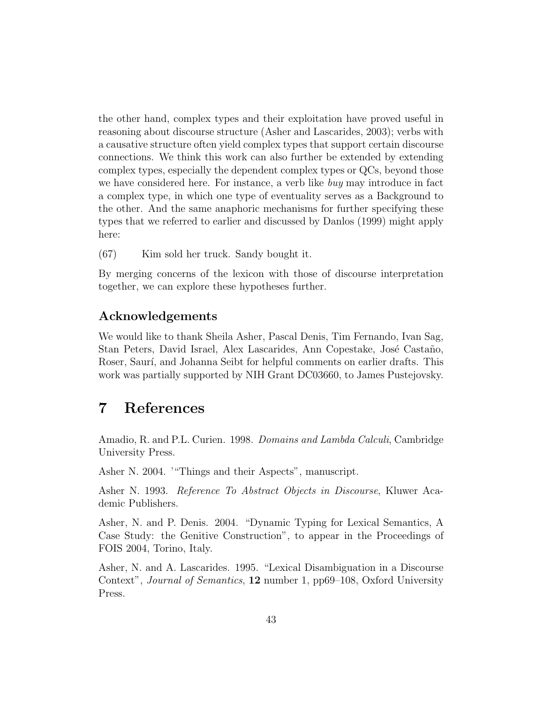the other hand, complex types and their exploitation have proved useful in reasoning about discourse structure (Asher and Lascarides, 2003); verbs with a causative structure often yield complex types that support certain discourse connections. We think this work can also further be extended by extending complex types, especially the dependent complex types or QCs, beyond those we have considered here. For instance, a verb like buy may introduce in fact a complex type, in which one type of eventuality serves as a Background to the other. And the same anaphoric mechanisms for further specifying these types that we referred to earlier and discussed by Danlos (1999) might apply here:

(67) Kim sold her truck. Sandy bought it.

By merging concerns of the lexicon with those of discourse interpretation together, we can explore these hypotheses further.

## Acknowledgements

We would like to thank Sheila Asher, Pascal Denis, Tim Fernando, Ivan Sag, Stan Peters, David Israel, Alex Lascarides, Ann Copestake, José Castaño, Roser, Saurí, and Johanna Seibt for helpful comments on earlier drafts. This work was partially supported by NIH Grant DC03660, to James Pustejovsky.

# 7 References

Amadio, R. and P.L. Curien. 1998. Domains and Lambda Calculi, Cambridge University Press.

Asher N. 2004. '"Things and their Aspects", manuscript.

Asher N. 1993. Reference To Abstract Objects in Discourse, Kluwer Academic Publishers.

Asher, N. and P. Denis. 2004. "Dynamic Typing for Lexical Semantics, A Case Study: the Genitive Construction", to appear in the Proceedings of FOIS 2004, Torino, Italy.

Asher, N. and A. Lascarides. 1995. "Lexical Disambiguation in a Discourse Context", Journal of Semantics, 12 number 1, pp69–108, Oxford University Press.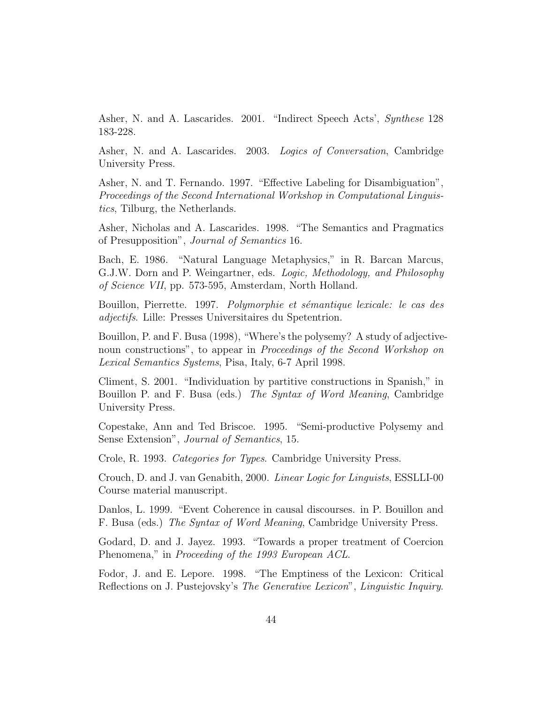Asher, N. and A. Lascarides. 2001. "Indirect Speech Acts', Synthese 128 183-228.

Asher, N. and A. Lascarides. 2003. Logics of Conversation, Cambridge University Press.

Asher, N. and T. Fernando. 1997. "Effective Labeling for Disambiguation", Proceedings of the Second International Workshop in Computational Linguistics, Tilburg, the Netherlands.

Asher, Nicholas and A. Lascarides. 1998. "The Semantics and Pragmatics of Presupposition", Journal of Semantics 16.

Bach, E. 1986. "Natural Language Metaphysics," in R. Barcan Marcus, G.J.W. Dorn and P. Weingartner, eds. Logic, Methodology, and Philosophy of Science VII, pp. 573-595, Amsterdam, North Holland.

Bouillon, Pierrette. 1997. Polymorphie et sémantique lexicale: le cas des adjectifs. Lille: Presses Universitaires du Spetentrion.

Bouillon, P. and F. Busa (1998), "Where's the polysemy? A study of adjectivenoun constructions", to appear in *Proceedings of the Second Workshop on* Lexical Semantics Systems, Pisa, Italy, 6-7 April 1998.

Climent, S. 2001. "Individuation by partitive constructions in Spanish," in Bouillon P. and F. Busa (eds.) The Syntax of Word Meaning, Cambridge University Press.

Copestake, Ann and Ted Briscoe. 1995. "Semi-productive Polysemy and Sense Extension", Journal of Semantics, 15.

Crole, R. 1993. Categories for Types. Cambridge University Press.

Crouch, D. and J. van Genabith, 2000. Linear Logic for Linguists, ESSLLI-00 Course material manuscript.

Danlos, L. 1999. "Event Coherence in causal discourses. in P. Bouillon and F. Busa (eds.) The Syntax of Word Meaning, Cambridge University Press.

Godard, D. and J. Jayez. 1993. "Towards a proper treatment of Coercion Phenomena," in Proceeding of the 1993 European ACL.

Fodor, J. and E. Lepore. 1998. "The Emptiness of the Lexicon: Critical Reflections on J. Pustejovsky's The Generative Lexicon", Linguistic Inquiry.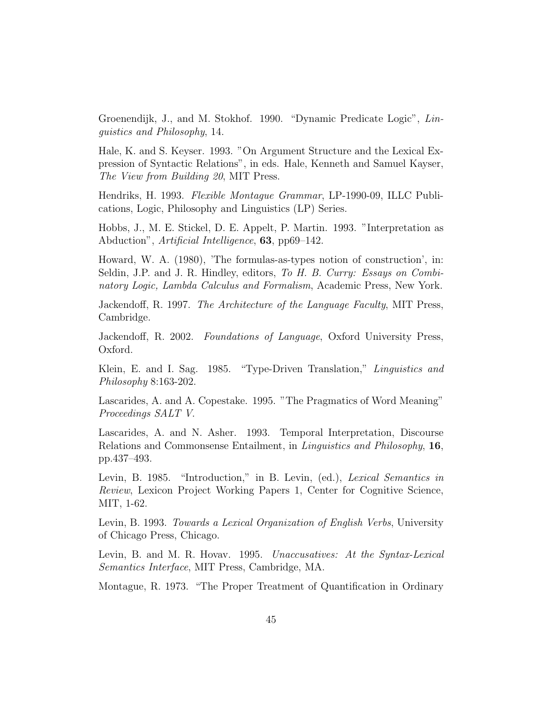Groenendijk, J., and M. Stokhof. 1990. "Dynamic Predicate Logic", Linguistics and Philosophy, 14.

Hale, K. and S. Keyser. 1993. "On Argument Structure and the Lexical Expression of Syntactic Relations", in eds. Hale, Kenneth and Samuel Kayser, The View from Building 20, MIT Press.

Hendriks, H. 1993. Flexible Montague Grammar, LP-1990-09, ILLC Publications, Logic, Philosophy and Linguistics (LP) Series.

Hobbs, J., M. E. Stickel, D. E. Appelt, P. Martin. 1993. "Interpretation as Abduction", *Artificial Intelligence*, **63**, pp69–142.

Howard, W. A. (1980), 'The formulas-as-types notion of construction', in: Seldin, J.P. and J. R. Hindley, editors, To H. B. Curry: Essays on Combinatory Logic, Lambda Calculus and Formalism, Academic Press, New York.

Jackendoff, R. 1997. The Architecture of the Language Faculty, MIT Press, Cambridge.

Jackendoff, R. 2002. Foundations of Language, Oxford University Press, Oxford.

Klein, E. and I. Sag. 1985. "Type-Driven Translation," Linguistics and Philosophy 8:163-202.

Lascarides, A. and A. Copestake. 1995. "The Pragmatics of Word Meaning" Proceedings SALT V.

Lascarides, A. and N. Asher. 1993. Temporal Interpretation, Discourse Relations and Commonsense Entailment, in Linguistics and Philosophy, 16, pp.437–493.

Levin, B. 1985. "Introduction," in B. Levin, (ed.), Lexical Semantics in Review, Lexicon Project Working Papers 1, Center for Cognitive Science, MIT, 1-62.

Levin, B. 1993. Towards a Lexical Organization of English Verbs, University of Chicago Press, Chicago.

Levin, B. and M. R. Hovav. 1995. Unaccusatives: At the Syntax-Lexical Semantics Interface, MIT Press, Cambridge, MA.

Montague, R. 1973. "The Proper Treatment of Quantification in Ordinary